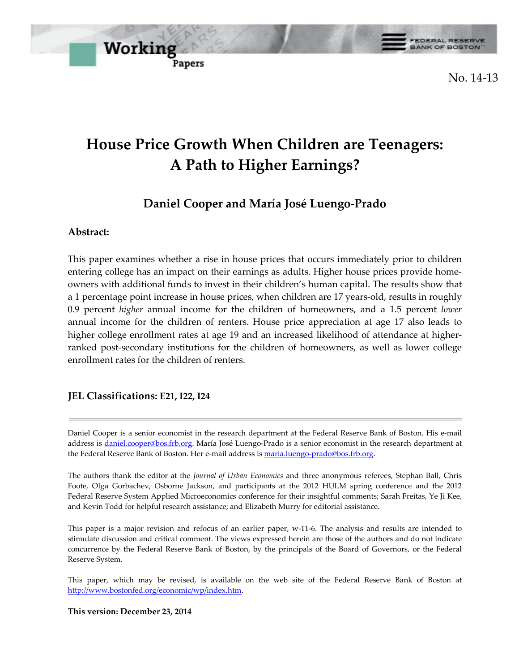<span id="page-0-0"></span>

No. 14-13

# **House Price Growth When Children are Teenagers: A Path to Higher Earnings?**

# **Daniel Cooper and María José Luengo-Prado**

## **Abstract:**

This paper examines whether a rise in house prices that occurs immediately prior to children entering college has an impact on their earnings as adults. Higher house prices provide homeowners with additional funds to invest in their children's human capital. The results show that a 1 percentage point increase in house prices, when children are 17 years-old, results in roughly 0.9 percent *higher* annual income for the children of homeowners, and a 1.5 percent *lower* annual income for the children of renters. House price appreciation at age 17 also leads to higher college enrollment rates at age 19 and an increased likelihood of attendance at higherranked post-secondary institutions for the children of homeowners, as well as lower college enrollment rates for the children of renters.

## **JEL Classifications: E21, I22, I24**

Daniel Cooper is a senior economist in the research department at the Federal Reserve Bank of Boston. His e-mail address is daniel.cooper@bos.frb.org. María José Luengo-Prado is a senior economist in the research department at the Federal Reserve Bank of Boston. Her e-mail address is maria.luengo-prado@bos.frb.org.

The authors thank the editor at the *Journal of Urban Economics* and three anonymous referees, Stephan Ball, Chris Foote, Olga Gorbachev, Osborne Jackson, and participants at the 2012 HULM spring conference and the 2012 Federal Reserve System Applied Microeconomics conference for their insightful comments; Sarah Freitas, Ye Ji Kee, and Kevin Todd for helpful research assistance; and Elizabeth Murry for editorial assistance.

This paper is a major revision and refocus of an earlier paper, w-11-6. The analysis and results are intended to stimulate discussion and critical comment. The views expressed herein are those of the authors and do not indicate concurrence by the Federal Reserve Bank of Boston, by the principals of the Board of Governors, or the Federal Reserve System.

This paper, which may be revised, is available on the web site of the Federal Reserve Bank of Boston at http://www.bostonfed.org/economic/wp/index.htm.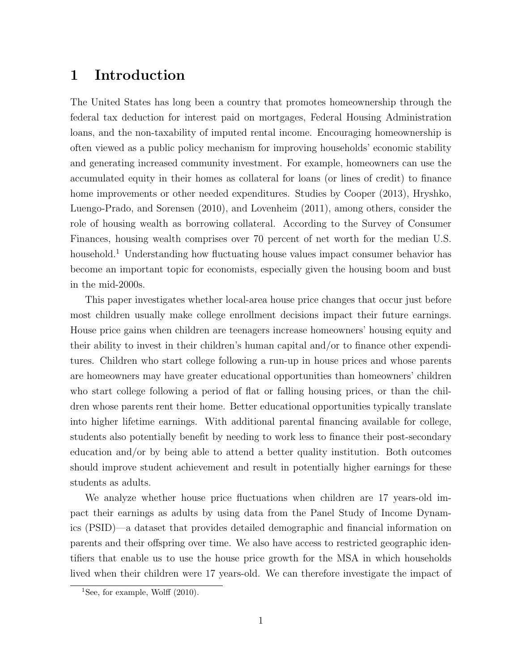## 1 Introduction

The United States has long been a country that promotes homeownership through the federal tax deduction for interest paid on mortgages, Federal Housing Administration loans, and the non-taxability of imputed rental income. Encouraging homeownership is often viewed as a public policy mechanism for improving households' economic stability and generating increased community investment. For example, homeowners can use the accumulated equity in their homes as collateral for loans (or lines of credit) to finance home improvements or other needed expenditures. Studies by [Cooper](#page-25-0) [\(2013\)](#page-25-0), [Hryshko,](#page-26-0) [Luengo-Prado, and Sorensen](#page-26-0) [\(2010\)](#page-26-0), and [Lovenheim](#page-26-1) [\(2011\)](#page-26-1), among others, consider the role of housing wealth as borrowing collateral. According to the Survey of Consumer Finances, housing wealth comprises over 70 percent of net worth for the median U.S. household.<sup>[1](#page-0-0)</sup> Understanding how fluctuating house values impact consumer behavior has become an important topic for economists, especially given the housing boom and bust in the mid-2000s.

This paper investigates whether local-area house price changes that occur just before most children usually make college enrollment decisions impact their future earnings. House price gains when children are teenagers increase homeowners' housing equity and their ability to invest in their children's human capital and/or to finance other expenditures. Children who start college following a run-up in house prices and whose parents are homeowners may have greater educational opportunities than homeowners' children who start college following a period of flat or falling housing prices, or than the children whose parents rent their home. Better educational opportunities typically translate into higher lifetime earnings. With additional parental financing available for college, students also potentially benefit by needing to work less to finance their post-secondary education and/or by being able to attend a better quality institution. Both outcomes should improve student achievement and result in potentially higher earnings for these students as adults.

We analyze whether house price fluctuations when children are 17 years-old impact their earnings as adults by using data from the Panel Study of Income Dynamics (PSID)—a dataset that provides detailed demographic and financial information on parents and their offspring over time. We also have access to restricted geographic identifiers that enable us to use the house price growth for the MSA in which households lived when their children were 17 years-old. We can therefore investigate the impact of

<sup>&</sup>lt;sup>1</sup>See, for example, [Wolff](#page-27-0)  $(2010)$ .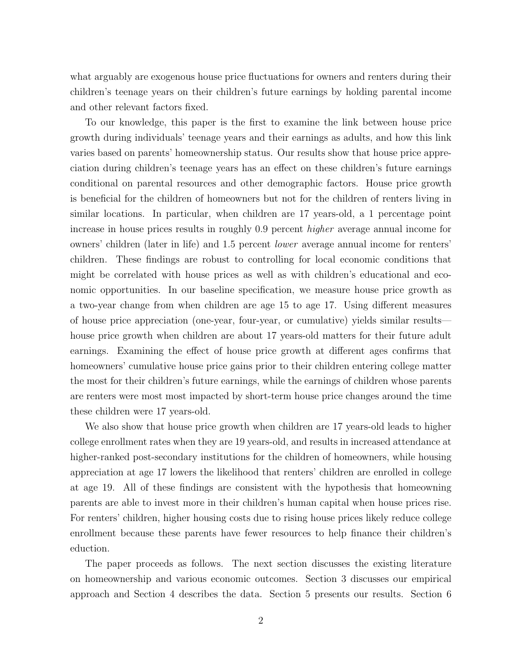what arguably are exogenous house price fluctuations for owners and renters during their children's teenage years on their children's future earnings by holding parental income and other relevant factors fixed.

To our knowledge, this paper is the first to examine the link between house price growth during individuals' teenage years and their earnings as adults, and how this link varies based on parents' homeownership status. Our results show that house price appreciation during children's teenage years has an effect on these children's future earnings conditional on parental resources and other demographic factors. House price growth is beneficial for the children of homeowners but not for the children of renters living in similar locations. In particular, when children are 17 years-old, a 1 percentage point increase in house prices results in roughly 0.9 percent higher average annual income for owners' children (later in life) and 1.5 percent lower average annual income for renters' children. These findings are robust to controlling for local economic conditions that might be correlated with house prices as well as with children's educational and economic opportunities. In our baseline specification, we measure house price growth as a two-year change from when children are age 15 to age 17. Using different measures of house price appreciation (one-year, four-year, or cumulative) yields similar results house price growth when children are about 17 years-old matters for their future adult earnings. Examining the effect of house price growth at different ages confirms that homeowners' cumulative house price gains prior to their children entering college matter the most for their children's future earnings, while the earnings of children whose parents are renters were most most impacted by short-term house price changes around the time these children were 17 years-old.

We also show that house price growth when children are 17 years-old leads to higher college enrollment rates when they are 19 years-old, and results in increased attendance at higher-ranked post-secondary institutions for the children of homeowners, while housing appreciation at age 17 lowers the likelihood that renters' children are enrolled in college at age 19. All of these findings are consistent with the hypothesis that homeowning parents are able to invest more in their children's human capital when house prices rise. For renters' children, higher housing costs due to rising house prices likely reduce college enrollment because these parents have fewer resources to help finance their children's eduction.

The paper proceeds as follows. The next section discusses the existing literature on homeownership and various economic outcomes. Section [3](#page-5-0) discusses our empirical approach and Section [4](#page-9-0) describes the data. Section [5](#page-12-0) presents our results. Section [6](#page-23-0)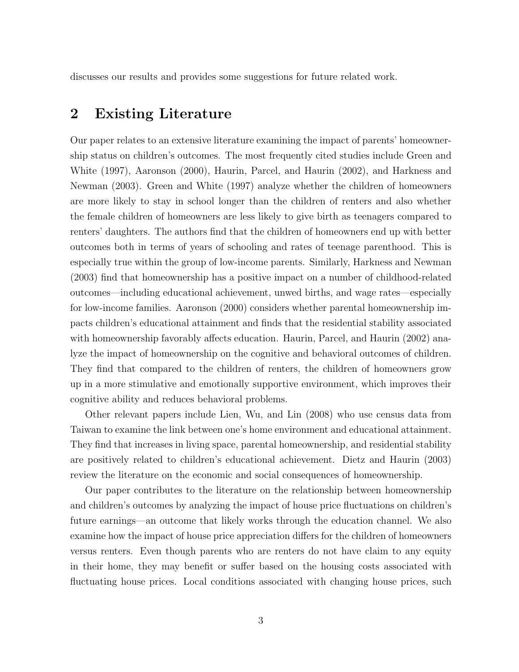discusses our results and provides some suggestions for future related work.

## 2 Existing Literature

Our paper relates to an extensive literature examining the impact of parents' homeownership status on children's outcomes. The most frequently cited studies include [Green and](#page-26-2) [White](#page-26-2) [\(1997\)](#page-26-2), [Aaronson](#page-25-1) [\(2000\)](#page-25-1), [Haurin, Parcel, and Haurin](#page-26-3) [\(2002\)](#page-26-3), and [Harkness and](#page-26-4) [Newman](#page-26-4) [\(2003\)](#page-26-4). [Green and White](#page-26-2) [\(1997\)](#page-26-2) analyze whether the children of homeowners are more likely to stay in school longer than the children of renters and also whether the female children of homeowners are less likely to give birth as teenagers compared to renters' daughters. The authors find that the children of homeowners end up with better outcomes both in terms of years of schooling and rates of teenage parenthood. This is especially true within the group of low-income parents. Similarly, [Harkness and Newman](#page-26-4) [\(2003\)](#page-26-4) find that homeownership has a positive impact on a number of childhood-related outcomes—including educational achievement, unwed births, and wage rates—especially for low-income families. [Aaronson](#page-25-1) [\(2000\)](#page-25-1) considers whether parental homeownership impacts children's educational attainment and finds that the residential stability associated with homeownership favorably affects education. [Haurin, Parcel, and Haurin](#page-26-3) [\(2002\)](#page-26-3) analyze the impact of homeownership on the cognitive and behavioral outcomes of children. They find that compared to the children of renters, the children of homeowners grow up in a more stimulative and emotionally supportive environment, which improves their cognitive ability and reduces behavioral problems.

Other relevant papers include [Lien, Wu, and Lin](#page-26-5) [\(2008\)](#page-26-5) who use census data from Taiwan to examine the link between one's home environment and educational attainment. They find that increases in living space, parental homeownership, and residential stability are positively related to children's educational achievement. [Dietz and Haurin](#page-25-2) [\(2003\)](#page-25-2) review the literature on the economic and social consequences of homeownership.

Our paper contributes to the literature on the relationship between homeownership and children's outcomes by analyzing the impact of house price fluctuations on children's future earnings—an outcome that likely works through the education channel. We also examine how the impact of house price appreciation differs for the children of homeowners versus renters. Even though parents who are renters do not have claim to any equity in their home, they may benefit or suffer based on the housing costs associated with fluctuating house prices. Local conditions associated with changing house prices, such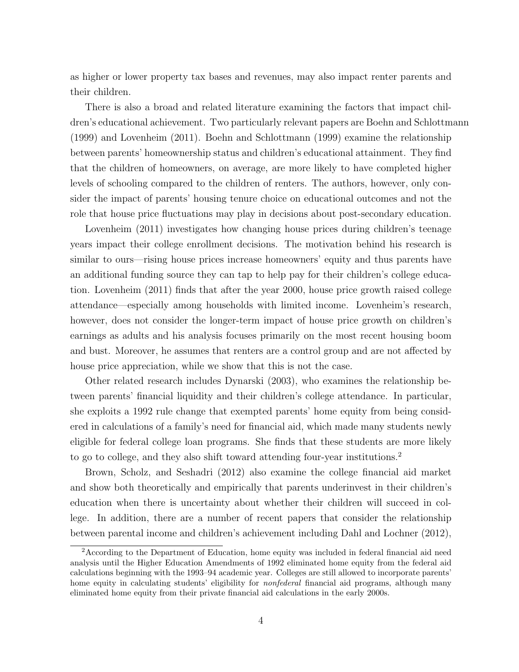as higher or lower property tax bases and revenues, may also impact renter parents and their children.

There is also a broad and related literature examining the factors that impact children's educational achievement. Two particularly relevant papers are [Boehn and Schlottmann](#page-25-3) [\(1999\)](#page-25-3) and [Lovenheim](#page-26-1) [\(2011\)](#page-26-1). [Boehn and Schlottmann](#page-25-3) [\(1999\)](#page-25-3) examine the relationship between parents' homeownership status and children's educational attainment. They find that the children of homeowners, on average, are more likely to have completed higher levels of schooling compared to the children of renters. The authors, however, only consider the impact of parents' housing tenure choice on educational outcomes and not the role that house price fluctuations may play in decisions about post-secondary education.

[Lovenheim](#page-26-1) [\(2011\)](#page-26-1) investigates how changing house prices during children's teenage years impact their college enrollment decisions. The motivation behind his research is similar to ours—rising house prices increase homeowners' equity and thus parents have an additional funding source they can tap to help pay for their children's college education. [Lovenheim](#page-26-1) [\(2011\)](#page-26-1) finds that after the year 2000, house price growth raised college attendance—especially among households with limited income. Lovenheim's research, however, does not consider the longer-term impact of house price growth on children's earnings as adults and his analysis focuses primarily on the most recent housing boom and bust. Moreover, he assumes that renters are a control group and are not affected by house price appreciation, while we show that this is not the case.

Other related research includes [Dynarski](#page-25-4) [\(2003\)](#page-25-4), who examines the relationship between parents' financial liquidity and their children's college attendance. In particular, she exploits a 1992 rule change that exempted parents' home equity from being considered in calculations of a family's need for financial aid, which made many students newly eligible for federal college loan programs. She finds that these students are more likely to go to college, and they also shift toward attending four-year institutions.[2](#page-0-0)

[Brown, Scholz, and Seshadri](#page-25-5) [\(2012\)](#page-25-5) also examine the college financial aid market and show both theoretically and empirically that parents underinvest in their children's education when there is uncertainty about whether their children will succeed in college. In addition, there are a number of recent papers that consider the relationship between parental income and children's achievement including [Dahl and Lochner](#page-25-6) [\(2012\)](#page-25-6),

<sup>&</sup>lt;sup>2</sup> According to the Department of Education, home equity was included in federal financial aid need analysis until the Higher Education Amendments of 1992 eliminated home equity from the federal aid calculations beginning with the 1993–94 academic year. Colleges are still allowed to incorporate parents' home equity in calculating students' eligibility for *nonfederal* financial aid programs, although many eliminated home equity from their private financial aid calculations in the early 2000s.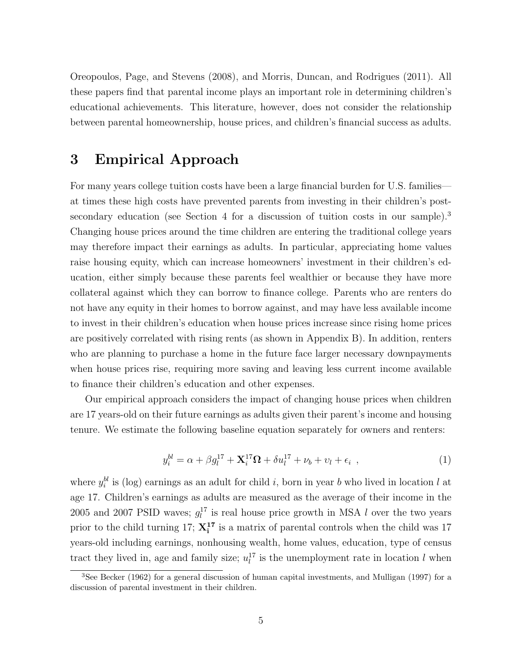[Oreopoulos, Page, and Stevens](#page-26-6) [\(2008\)](#page-26-6), and [Morris, Duncan, and Rodrigues](#page-26-7) [\(2011\)](#page-26-7). All these papers find that parental income plays an important role in determining children's educational achievements. This literature, however, does not consider the relationship between parental homeownership, house prices, and children's financial success as adults.

# <span id="page-5-0"></span>3 Empirical Approach

For many years college tuition costs have been a large financial burden for U.S. families at times these high costs have prevented parents from investing in their children's post-secondary education (see Section [4](#page-9-0) for a discussion of tuition costs in our sample).<sup>[3](#page-0-0)</sup> Changing house prices around the time children are entering the traditional college years may therefore impact their earnings as adults. In particular, appreciating home values raise housing equity, which can increase homeowners' investment in their children's education, either simply because these parents feel wealthier or because they have more collateral against which they can borrow to finance college. Parents who are renters do not have any equity in their homes to borrow against, and may have less available income to invest in their children's education when house prices increase since rising home prices are positively correlated with rising rents (as shown in Appendix [B\)](#page-39-0). In addition, renters who are planning to purchase a home in the future face larger necessary downpayments when house prices rise, requiring more saving and leaving less current income available to finance their children's education and other expenses.

<span id="page-5-1"></span>Our empirical approach considers the impact of changing house prices when children are 17 years-old on their future earnings as adults given their parent's income and housing tenure. We estimate the following baseline equation separately for owners and renters:

$$
y_i^{bl} = \alpha + \beta g_l^{17} + \mathbf{X}_i^{17} \Omega + \delta u_l^{17} + \nu_b + \nu_l + \epsilon_i , \qquad (1)
$$

where  $y_i^{bl}$  is (log) earnings as an adult for child i, born in year b who lived in location l at age 17. Children's earnings as adults are measured as the average of their income in the 2005 and 2007 PSID waves;  $g_l^{17}$  is real house price growth in MSA l over the two years prior to the child turning 17;  $X_i^{17}$  is a matrix of parental controls when the child was 17 years-old including earnings, nonhousing wealth, home values, education, type of census tract they lived in, age and family size;  $u_l^{17}$  is the unemployment rate in location l when

<sup>3</sup>See [Becker](#page-25-7) [\(1962\)](#page-25-7) for a general discussion of human capital investments, and [Mulligan](#page-26-8) [\(1997\)](#page-26-8) for a discussion of parental investment in their children.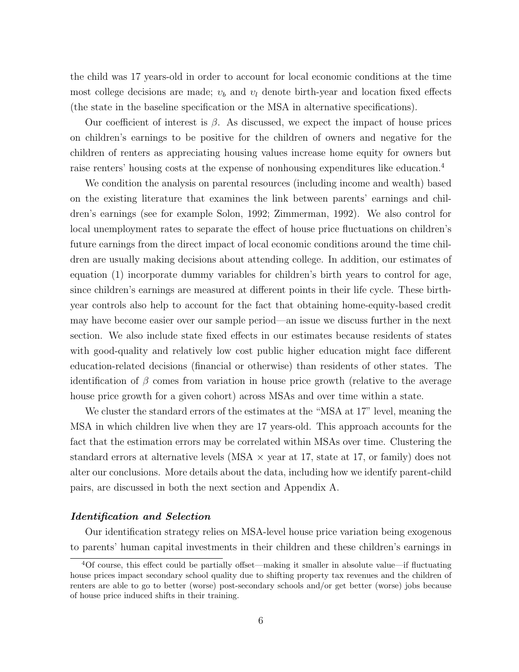the child was 17 years-old in order to account for local economic conditions at the time most college decisions are made;  $v_b$  and  $v_l$  denote birth-year and location fixed effects (the state in the baseline specification or the MSA in alternative specifications).

Our coefficient of interest is  $\beta$ . As discussed, we expect the impact of house prices on children's earnings to be positive for the children of owners and negative for the children of renters as appreciating housing values increase home equity for owners but raise renters' housing costs at the expense of nonhousing expenditures like education.<sup>[4](#page-0-0)</sup>

We condition the analysis on parental resources (including income and wealth) based on the existing literature that examines the link between parents' earnings and children's earnings (see for example [Solon,](#page-26-9) [1992;](#page-26-9) [Zimmerman,](#page-27-1) [1992\)](#page-27-1). We also control for local unemployment rates to separate the effect of house price fluctuations on children's future earnings from the direct impact of local economic conditions around the time children are usually making decisions about attending college. In addition, our estimates of equation [\(1\)](#page-5-1) incorporate dummy variables for children's birth years to control for age, since children's earnings are measured at different points in their life cycle. These birthyear controls also help to account for the fact that obtaining home-equity-based credit may have become easier over our sample period—an issue we discuss further in the next section. We also include state fixed effects in our estimates because residents of states with good-quality and relatively low cost public higher education might face different education-related decisions (financial or otherwise) than residents of other states. The identification of  $\beta$  comes from variation in house price growth (relative to the average house price growth for a given cohort) across MSAs and over time within a state.

We cluster the standard errors of the estimates at the "MSA at 17" level, meaning the MSA in which children live when they are 17 years-old. This approach accounts for the fact that the estimation errors may be correlated within MSAs over time. Clustering the standard errors at alternative levels (MSA  $\times$  year at 17, state at 17, or family) does not alter our conclusions. More details about the data, including how we identify parent-child pairs, are discussed in both the next section and Appendix [A.](#page-34-0)

#### Identification and Selection

Our identification strategy relies on MSA-level house price variation being exogenous to parents' human capital investments in their children and these children's earnings in

<sup>4</sup>Of course, this effect could be partially offset—making it smaller in absolute value—if fluctuating house prices impact secondary school quality due to shifting property tax revenues and the children of renters are able to go to better (worse) post-secondary schools and/or get better (worse) jobs because of house price induced shifts in their training.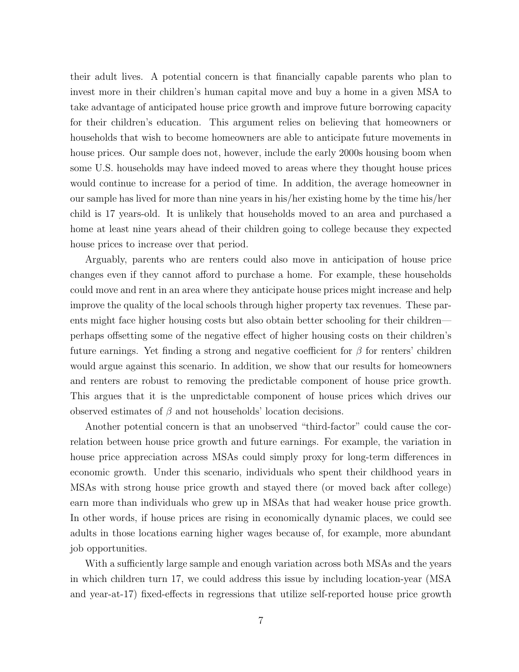their adult lives. A potential concern is that financially capable parents who plan to invest more in their children's human capital move and buy a home in a given MSA to take advantage of anticipated house price growth and improve future borrowing capacity for their children's education. This argument relies on believing that homeowners or households that wish to become homeowners are able to anticipate future movements in house prices. Our sample does not, however, include the early 2000s housing boom when some U.S. households may have indeed moved to areas where they thought house prices would continue to increase for a period of time. In addition, the average homeowner in our sample has lived for more than nine years in his/her existing home by the time his/her child is 17 years-old. It is unlikely that households moved to an area and purchased a home at least nine years ahead of their children going to college because they expected house prices to increase over that period.

Arguably, parents who are renters could also move in anticipation of house price changes even if they cannot afford to purchase a home. For example, these households could move and rent in an area where they anticipate house prices might increase and help improve the quality of the local schools through higher property tax revenues. These parents might face higher housing costs but also obtain better schooling for their children perhaps offsetting some of the negative effect of higher housing costs on their children's future earnings. Yet finding a strong and negative coefficient for  $\beta$  for renters' children would argue against this scenario. In addition, we show that our results for homeowners and renters are robust to removing the predictable component of house price growth. This argues that it is the unpredictable component of house prices which drives our observed estimates of  $\beta$  and not households' location decisions.

Another potential concern is that an unobserved "third-factor" could cause the correlation between house price growth and future earnings. For example, the variation in house price appreciation across MSAs could simply proxy for long-term differences in economic growth. Under this scenario, individuals who spent their childhood years in MSAs with strong house price growth and stayed there (or moved back after college) earn more than individuals who grew up in MSAs that had weaker house price growth. In other words, if house prices are rising in economically dynamic places, we could see adults in those locations earning higher wages because of, for example, more abundant job opportunities.

With a sufficiently large sample and enough variation across both MSAs and the years in which children turn 17, we could address this issue by including location-year (MSA and year-at-17) fixed-effects in regressions that utilize self-reported house price growth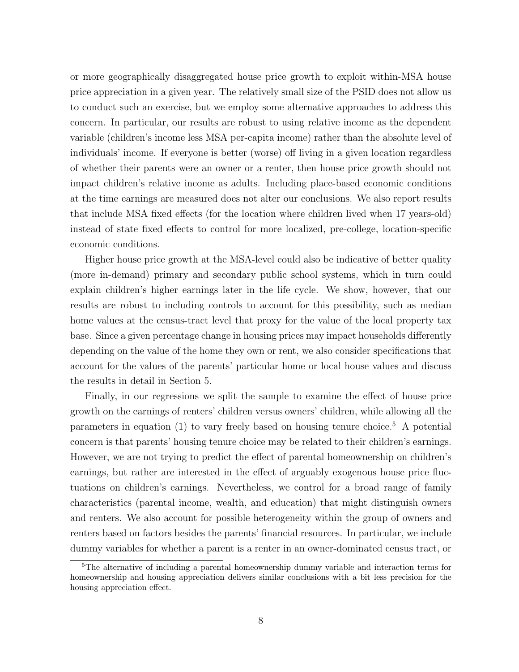or more geographically disaggregated house price growth to exploit within-MSA house price appreciation in a given year. The relatively small size of the PSID does not allow us to conduct such an exercise, but we employ some alternative approaches to address this concern. In particular, our results are robust to using relative income as the dependent variable (children's income less MSA per-capita income) rather than the absolute level of individuals' income. If everyone is better (worse) off living in a given location regardless of whether their parents were an owner or a renter, then house price growth should not impact children's relative income as adults. Including place-based economic conditions at the time earnings are measured does not alter our conclusions. We also report results that include MSA fixed effects (for the location where children lived when 17 years-old) instead of state fixed effects to control for more localized, pre-college, location-specific economic conditions.

Higher house price growth at the MSA-level could also be indicative of better quality (more in-demand) primary and secondary public school systems, which in turn could explain children's higher earnings later in the life cycle. We show, however, that our results are robust to including controls to account for this possibility, such as median home values at the census-tract level that proxy for the value of the local property tax base. Since a given percentage change in housing prices may impact households differently depending on the value of the home they own or rent, we also consider specifications that account for the values of the parents' particular home or local house values and discuss the results in detail in Section [5.](#page-12-0)

Finally, in our regressions we split the sample to examine the effect of house price growth on the earnings of renters' children versus owners' children, while allowing all the parameters in equation [\(1\)](#page-5-1) to vary freely based on housing tenure choice.[5](#page-0-0) A potential concern is that parents' housing tenure choice may be related to their children's earnings. However, we are not trying to predict the effect of parental homeownership on children's earnings, but rather are interested in the effect of arguably exogenous house price fluctuations on children's earnings. Nevertheless, we control for a broad range of family characteristics (parental income, wealth, and education) that might distinguish owners and renters. We also account for possible heterogeneity within the group of owners and renters based on factors besides the parents' financial resources. In particular, we include dummy variables for whether a parent is a renter in an owner-dominated census tract, or

<sup>&</sup>lt;sup>5</sup>The alternative of including a parental homeownership dummy variable and interaction terms for homeownership and housing appreciation delivers similar conclusions with a bit less precision for the housing appreciation effect.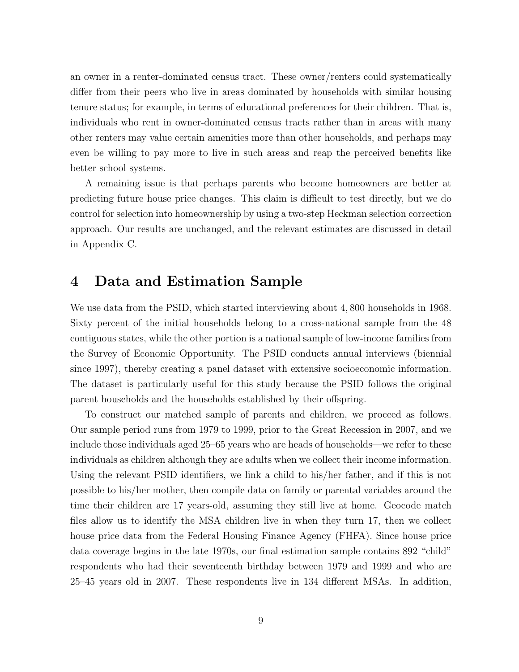an owner in a renter-dominated census tract. These owner/renters could systematically differ from their peers who live in areas dominated by households with similar housing tenure status; for example, in terms of educational preferences for their children. That is, individuals who rent in owner-dominated census tracts rather than in areas with many other renters may value certain amenities more than other households, and perhaps may even be willing to pay more to live in such areas and reap the perceived benefits like better school systems.

A remaining issue is that perhaps parents who become homeowners are better at predicting future house price changes. This claim is difficult to test directly, but we do control for selection into homeownership by using a two-step Heckman selection correction approach. Our results are unchanged, and the relevant estimates are discussed in detail in Appendix [C.](#page-41-0)

## <span id="page-9-0"></span>4 Data and Estimation Sample

We use data from the PSID, which started interviewing about 4, 800 households in 1968. Sixty percent of the initial households belong to a cross-national sample from the 48 contiguous states, while the other portion is a national sample of low-income families from the Survey of Economic Opportunity. The PSID conducts annual interviews (biennial since 1997), thereby creating a panel dataset with extensive socioeconomic information. The dataset is particularly useful for this study because the PSID follows the original parent households and the households established by their offspring.

To construct our matched sample of parents and children, we proceed as follows. Our sample period runs from 1979 to 1999, prior to the Great Recession in 2007, and we include those individuals aged 25–65 years who are heads of households—we refer to these individuals as children although they are adults when we collect their income information. Using the relevant PSID identifiers, we link a child to his/her father, and if this is not possible to his/her mother, then compile data on family or parental variables around the time their children are 17 years-old, assuming they still live at home. Geocode match files allow us to identify the MSA children live in when they turn 17, then we collect house price data from the Federal Housing Finance Agency (FHFA). Since house price data coverage begins in the late 1970s, our final estimation sample contains 892 "child" respondents who had their seventeenth birthday between 1979 and 1999 and who are 25–45 years old in 2007. These respondents live in 134 different MSAs. In addition,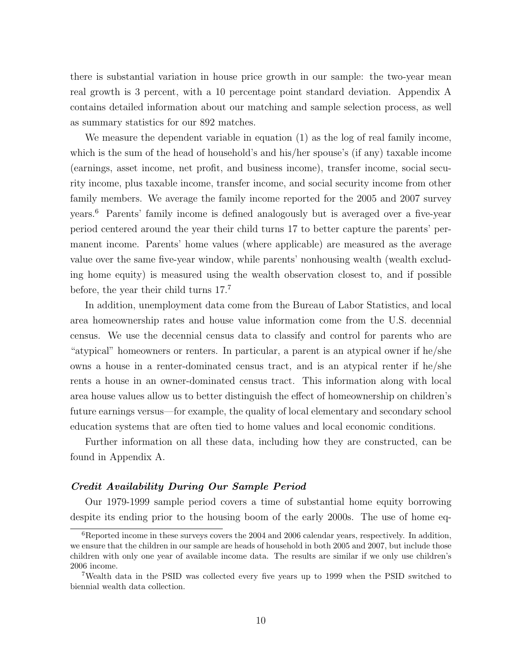there is substantial variation in house price growth in our sample: the two-year mean real growth is 3 percent, with a 10 percentage point standard deviation. Appendix [A](#page-34-0) contains detailed information about our matching and sample selection process, as well as summary statistics for our 892 matches.

We measure the dependent variable in equation [\(1\)](#page-5-1) as the log of real family income, which is the sum of the head of household's and his/her spouse's (if any) taxable income (earnings, asset income, net profit, and business income), transfer income, social security income, plus taxable income, transfer income, and social security income from other family members. We average the family income reported for the 2005 and 2007 survey years.[6](#page-0-0) Parents' family income is defined analogously but is averaged over a five-year period centered around the year their child turns 17 to better capture the parents' permanent income. Parents' home values (where applicable) are measured as the average value over the same five-year window, while parents' nonhousing wealth (wealth excluding home equity) is measured using the wealth observation closest to, and if possible before, the year their child turns 17.[7](#page-0-0)

In addition, unemployment data come from the Bureau of Labor Statistics, and local area homeownership rates and house value information come from the U.S. decennial census. We use the decennial census data to classify and control for parents who are "atypical" homeowners or renters. In particular, a parent is an atypical owner if he/she owns a house in a renter-dominated census tract, and is an atypical renter if he/she rents a house in an owner-dominated census tract. This information along with local area house values allow us to better distinguish the effect of homeownership on children's future earnings versus—for example, the quality of local elementary and secondary school education systems that are often tied to home values and local economic conditions.

Further information on all these data, including how they are constructed, can be found in Appendix [A.](#page-34-0)

#### Credit Availability During Our Sample Period

Our 1979-1999 sample period covers a time of substantial home equity borrowing despite its ending prior to the housing boom of the early 2000s. The use of home eq-

 ${}^{6}$ Reported income in these surveys covers the 2004 and 2006 calendar years, respectively. In addition, we ensure that the children in our sample are heads of household in both 2005 and 2007, but include those children with only one year of available income data. The results are similar if we only use children's 2006 income.

<sup>7</sup>Wealth data in the PSID was collected every five years up to 1999 when the PSID switched to biennial wealth data collection.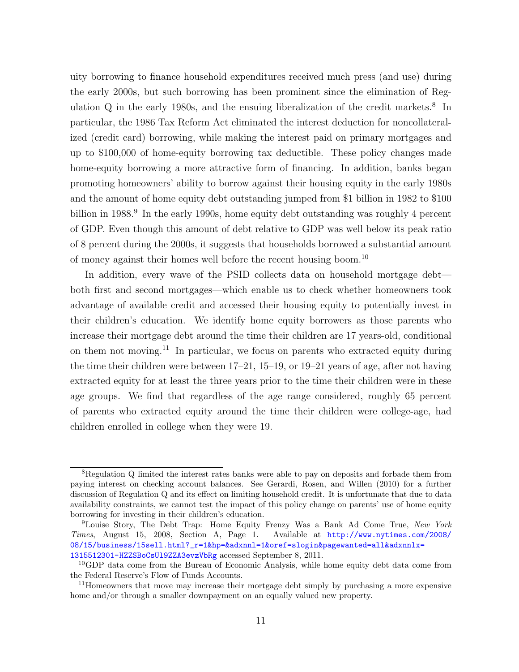uity borrowing to finance household expenditures received much press (and use) during the early 2000s, but such borrowing has been prominent since the elimination of Reg-ulation Q in the early 19[8](#page-0-0)0s, and the ensuing liberalization of the credit markets.<sup>8</sup> In particular, the 1986 Tax Reform Act eliminated the interest deduction for noncollateralized (credit card) borrowing, while making the interest paid on primary mortgages and up to \$100,000 of home-equity borrowing tax deductible. These policy changes made home-equity borrowing a more attractive form of financing. In addition, banks began promoting homeowners' ability to borrow against their housing equity in the early 1980s and the amount of home equity debt outstanding jumped from \$1 billion in 1982 to \$100 billion in 1[9](#page-0-0)88.<sup>9</sup> In the early 1990s, home equity debt outstanding was roughly 4 percent of GDP. Even though this amount of debt relative to GDP was well below its peak ratio of 8 percent during the 2000s, it suggests that households borrowed a substantial amount of money against their homes well before the recent housing boom.[10](#page-0-0)

In addition, every wave of the PSID collects data on household mortgage debt both first and second mortgages—which enable us to check whether homeowners took advantage of available credit and accessed their housing equity to potentially invest in their children's education. We identify home equity borrowers as those parents who increase their mortgage debt around the time their children are 17 years-old, conditional on them not moving.[11](#page-0-0) In particular, we focus on parents who extracted equity during the time their children were between 17–21, 15–19, or 19–21 years of age, after not having extracted equity for at least the three years prior to the time their children were in these age groups. We find that regardless of the age range considered, roughly 65 percent of parents who extracted equity around the time their children were college-age, had children enrolled in college when they were 19.

<sup>8</sup>Regulation Q limited the interest rates banks were able to pay on deposits and forbade them from paying interest on checking account balances. See [Gerardi, Rosen, and Willen](#page-26-10) [\(2010\)](#page-26-10) for a further discussion of Regulation Q and its effect on limiting household credit. It is unfortunate that due to data availability constraints, we cannot test the impact of this policy change on parents' use of home equity borrowing for investing in their children's education.

<sup>9</sup>Louise Story, The Debt Trap: Home Equity Frenzy Was a Bank Ad Come True, New York Times, August 15, 2008, Section A, Page 1. Available at [http://www.nytimes.com/2008/](http://www.nytimes.com/2008/08/15/business/15sell.html?_r=1&hp=&adxnnl=1&oref=slogin&pagewanted=all&adxnnlx=1315512301-HZZSBoCsUl9ZZA3evzVbRg) [08/15/business/15sell.html?\\_r=1&hp=&adxnnl=1&oref=slogin&pagewanted=all&adxnnlx=](http://www.nytimes.com/2008/08/15/business/15sell.html?_r=1&hp=&adxnnl=1&oref=slogin&pagewanted=all&adxnnlx=1315512301-HZZSBoCsUl9ZZA3evzVbRg) [1315512301-HZZSBoCsUl9ZZA3evzVbRg](http://www.nytimes.com/2008/08/15/business/15sell.html?_r=1&hp=&adxnnl=1&oref=slogin&pagewanted=all&adxnnlx=1315512301-HZZSBoCsUl9ZZA3evzVbRg) accessed September 8, 2011.

<sup>10</sup>GDP data come from the Bureau of Economic Analysis, while home equity debt data come from the Federal Reserve's Flow of Funds Accounts.

 $11$ Homeowners that move may increase their mortgage debt simply by purchasing a more expensive home and/or through a smaller downpayment on an equally valued new property.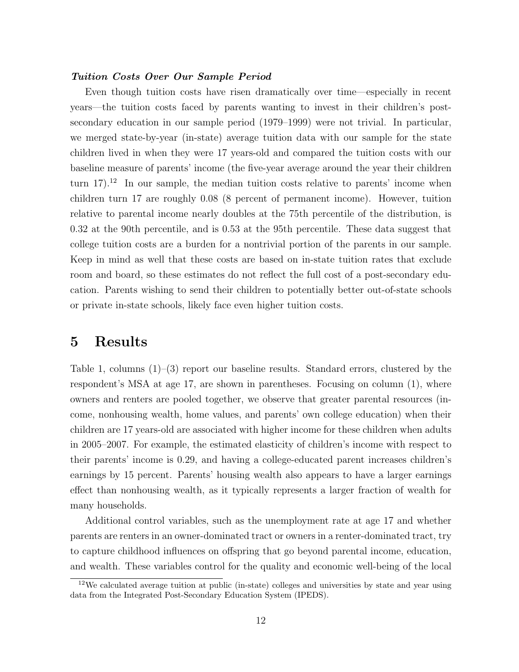#### Tuition Costs Over Our Sample Period

Even though tuition costs have risen dramatically over time—especially in recent years—the tuition costs faced by parents wanting to invest in their children's postsecondary education in our sample period (1979–1999) were not trivial. In particular, we merged state-by-year (in-state) average tuition data with our sample for the state children lived in when they were 17 years-old and compared the tuition costs with our baseline measure of parents' income (the five-year average around the year their children turn  $17$ ).<sup>[12](#page-0-0)</sup> In our sample, the median tuition costs relative to parents' income when children turn 17 are roughly 0.08 (8 percent of permanent income). However, tuition relative to parental income nearly doubles at the 75th percentile of the distribution, is 0.32 at the 90th percentile, and is 0.53 at the 95th percentile. These data suggest that college tuition costs are a burden for a nontrivial portion of the parents in our sample. Keep in mind as well that these costs are based on in-state tuition rates that exclude room and board, so these estimates do not reflect the full cost of a post-secondary education. Parents wishing to send their children to potentially better out-of-state schools or private in-state schools, likely face even higher tuition costs.

## <span id="page-12-0"></span>5 Results

Table [1,](#page-28-0) columns  $(1)-(3)$  report our baseline results. Standard errors, clustered by the respondent's MSA at age 17, are shown in parentheses. Focusing on column (1), where owners and renters are pooled together, we observe that greater parental resources (income, nonhousing wealth, home values, and parents' own college education) when their children are 17 years-old are associated with higher income for these children when adults in 2005–2007. For example, the estimated elasticity of children's income with respect to their parents' income is 0.29, and having a college-educated parent increases children's earnings by 15 percent. Parents' housing wealth also appears to have a larger earnings effect than nonhousing wealth, as it typically represents a larger fraction of wealth for many households.

Additional control variables, such as the unemployment rate at age 17 and whether parents are renters in an owner-dominated tract or owners in a renter-dominated tract, try to capture childhood influences on offspring that go beyond parental income, education, and wealth. These variables control for the quality and economic well-being of the local

 $12$ We calculated average tuition at public (in-state) colleges and universities by state and year using data from the Integrated Post-Secondary Education System (IPEDS).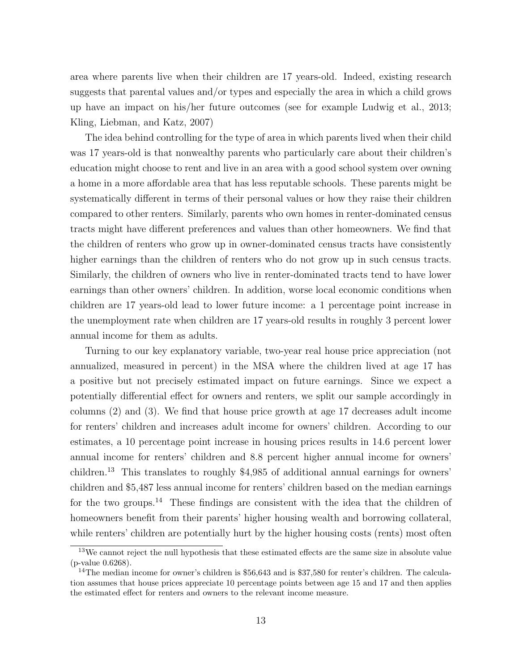area where parents live when their children are 17 years-old. Indeed, existing research suggests that parental values and/or types and especially the area in which a child grows up have an impact on his/her future outcomes (see for example [Ludwig et al.,](#page-26-11) [2013;](#page-26-11) [Kling, Liebman, and Katz,](#page-26-12) [2007\)](#page-26-12)

The idea behind controlling for the type of area in which parents lived when their child was 17 years-old is that nonwealthy parents who particularly care about their children's education might choose to rent and live in an area with a good school system over owning a home in a more affordable area that has less reputable schools. These parents might be systematically different in terms of their personal values or how they raise their children compared to other renters. Similarly, parents who own homes in renter-dominated census tracts might have different preferences and values than other homeowners. We find that the children of renters who grow up in owner-dominated census tracts have consistently higher earnings than the children of renters who do not grow up in such census tracts. Similarly, the children of owners who live in renter-dominated tracts tend to have lower earnings than other owners' children. In addition, worse local economic conditions when children are 17 years-old lead to lower future income: a 1 percentage point increase in the unemployment rate when children are 17 years-old results in roughly 3 percent lower annual income for them as adults.

Turning to our key explanatory variable, two-year real house price appreciation (not annualized, measured in percent) in the MSA where the children lived at age 17 has a positive but not precisely estimated impact on future earnings. Since we expect a potentially differential effect for owners and renters, we split our sample accordingly in columns (2) and (3). We find that house price growth at age 17 decreases adult income for renters' children and increases adult income for owners' children. According to our estimates, a 10 percentage point increase in housing prices results in 14.6 percent lower annual income for renters' children and 8.8 percent higher annual income for owners' children.[13](#page-0-0) This translates to roughly \$4,985 of additional annual earnings for owners' children and \$5,487 less annual income for renters' children based on the median earnings for the two groups.<sup>[14](#page-0-0)</sup> These findings are consistent with the idea that the children of homeowners benefit from their parents' higher housing wealth and borrowing collateral, while renters' children are potentially hurt by the higher housing costs (rents) most often

<sup>&</sup>lt;sup>13</sup>We cannot reject the null hypothesis that these estimated effects are the same size in absolute value (p-value 0.6268).

<sup>&</sup>lt;sup>14</sup>The median income for owner's children is  $$56,643$  and is  $$37,580$  for renter's children. The calculation assumes that house prices appreciate 10 percentage points between age 15 and 17 and then applies the estimated effect for renters and owners to the relevant income measure.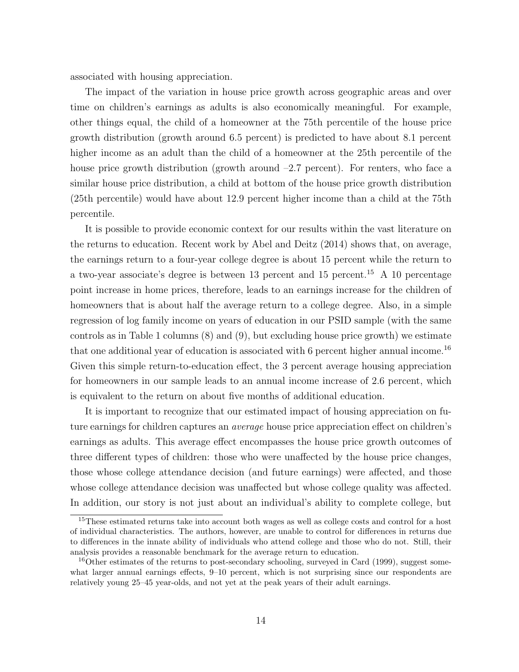associated with housing appreciation.

The impact of the variation in house price growth across geographic areas and over time on children's earnings as adults is also economically meaningful. For example, other things equal, the child of a homeowner at the 75th percentile of the house price growth distribution (growth around 6.5 percent) is predicted to have about 8.1 percent higher income as an adult than the child of a homeowner at the 25th percentile of the house price growth distribution (growth around  $-2.7$  percent). For renters, who face a similar house price distribution, a child at bottom of the house price growth distribution (25th percentile) would have about 12.9 percent higher income than a child at the 75th percentile.

It is possible to provide economic context for our results within the vast literature on the returns to education. Recent work by [Abel and Deitz](#page-25-8) [\(2014\)](#page-25-8) shows that, on average, the earnings return to a four-year college degree is about 15 percent while the return to a two-year associate's degree is between 13 percent and 15 percent.[15](#page-0-0) A 10 percentage point increase in home prices, therefore, leads to an earnings increase for the children of homeowners that is about half the average return to a college degree. Also, in a simple regression of log family income on years of education in our PSID sample (with the same controls as in Table 1 columns (8) and (9), but excluding house price growth) we estimate that one additional year of education is associated with 6 percent higher annual income.<sup>[16](#page-0-0)</sup> Given this simple return-to-education effect, the 3 percent average housing appreciation for homeowners in our sample leads to an annual income increase of 2.6 percent, which is equivalent to the return on about five months of additional education.

It is important to recognize that our estimated impact of housing appreciation on future earnings for children captures an average house price appreciation effect on children's earnings as adults. This average effect encompasses the house price growth outcomes of three different types of children: those who were unaffected by the house price changes, those whose college attendance decision (and future earnings) were affected, and those whose college attendance decision was unaffected but whose college quality was affected. In addition, our story is not just about an individual's ability to complete college, but

<sup>&</sup>lt;sup>15</sup>These estimated returns take into account both wages as well as college costs and control for a host of individual characteristics. The authors, however, are unable to control for differences in returns due to differences in the innate ability of individuals who attend college and those who do not. Still, their analysis provides a reasonable benchmark for the average return to education.

<sup>&</sup>lt;sup>16</sup>Other estimates of the returns to post-secondary schooling, surveyed in Card (1999), suggest somewhat larger annual earnings effects, 9–10 percent, which is not surprising since our respondents are relatively young 25–45 year-olds, and not yet at the peak years of their adult earnings.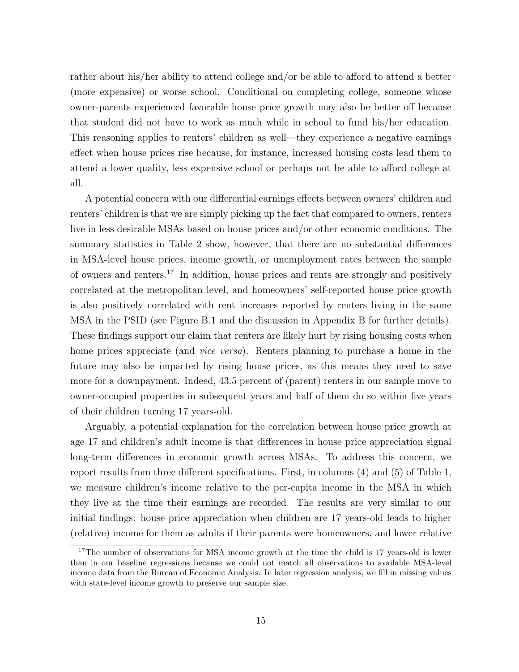rather about his/her ability to attend college and/or be able to afford to attend a better (more expensive) or worse school. Conditional on completing college, someone whose owner-parents experienced favorable house price growth may also be better off because that student did not have to work as much while in school to fund his/her education. This reasoning applies to renters' children as well—they experience a negative earnings effect when house prices rise because, for instance, increased housing costs lead them to attend a lower quality, less expensive school or perhaps not be able to afford college at all.

A potential concern with our differential earnings effects between owners' children and renters' children is that we are simply picking up the fact that compared to owners, renters live in less desirable MSAs based on house prices and/or other economic conditions. The summary statistics in Table [2](#page-29-0) show, however, that there are no substantial differences in MSA-level house prices, income growth, or unemployment rates between the sample of owners and renters.[17](#page-0-0) In addition, house prices and rents are strongly and positively correlated at the metropolitan level, and homeowners' self-reported house price growth is also positively correlated with rent increases reported by renters living in the same MSA in the PSID (see Figure [B.1](#page-40-0) and the discussion in Appendix [B](#page-39-0) for further details). These findings support our claim that renters are likely hurt by rising housing costs when home prices appreciate (and *vice versa*). Renters planning to purchase a home in the future may also be impacted by rising house prices, as this means they need to save more for a downpayment. Indeed, 43.5 percent of (parent) renters in our sample move to owner-occupied properties in subsequent years and half of them do so within five years of their children turning 17 years-old.

Arguably, a potential explanation for the correlation between house price growth at age 17 and children's adult income is that differences in house price appreciation signal long-term differences in economic growth across MSAs. To address this concern, we report results from three different specifications. First, in columns (4) and (5) of Table [1,](#page-28-0) we measure children's income relative to the per-capita income in the MSA in which they live at the time their earnings are recorded. The results are very similar to our initial findings: house price appreciation when children are 17 years-old leads to higher (relative) income for them as adults if their parents were homeowners, and lower relative

<sup>&</sup>lt;sup>17</sup>The number of observations for MSA income growth at the time the child is 17 years-old is lower than in our baseline regressions because we could not match all observations to available MSA-level income data from the Bureau of Economic Analysis. In later regression analysis, we fill in missing values with state-level income growth to preserve our sample size.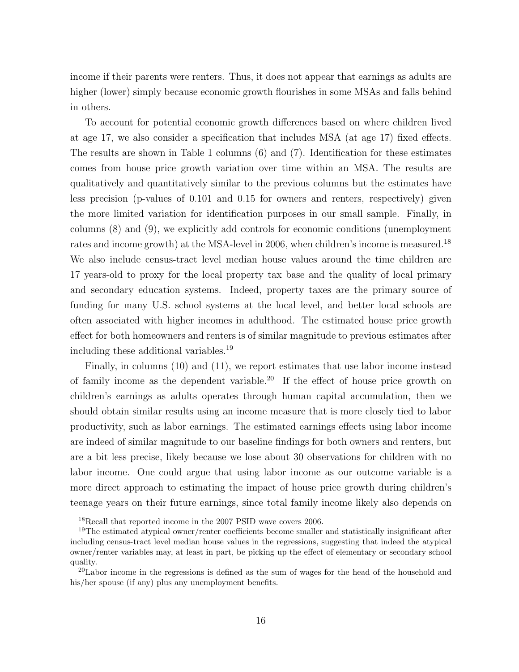income if their parents were renters. Thus, it does not appear that earnings as adults are higher (lower) simply because economic growth flourishes in some MSAs and falls behind in others.

To account for potential economic growth differences based on where children lived at age 17, we also consider a specification that includes MSA (at age 17) fixed effects. The results are shown in Table [1](#page-28-0) columns (6) and (7). Identification for these estimates comes from house price growth variation over time within an MSA. The results are qualitatively and quantitatively similar to the previous columns but the estimates have less precision (p-values of 0.101 and 0.15 for owners and renters, respectively) given the more limited variation for identification purposes in our small sample. Finally, in columns (8) and (9), we explicitly add controls for economic conditions (unemployment rates and income growth) at the MSA-level in 2006, when children's income is measured.<sup>[18](#page-0-0)</sup> We also include census-tract level median house values around the time children are 17 years-old to proxy for the local property tax base and the quality of local primary and secondary education systems. Indeed, property taxes are the primary source of funding for many U.S. school systems at the local level, and better local schools are often associated with higher incomes in adulthood. The estimated house price growth effect for both homeowners and renters is of similar magnitude to previous estimates after including these additional variables.[19](#page-0-0)

Finally, in columns (10) and (11), we report estimates that use labor income instead of family income as the dependent variable.[20](#page-0-0) If the effect of house price growth on children's earnings as adults operates through human capital accumulation, then we should obtain similar results using an income measure that is more closely tied to labor productivity, such as labor earnings. The estimated earnings effects using labor income are indeed of similar magnitude to our baseline findings for both owners and renters, but are a bit less precise, likely because we lose about 30 observations for children with no labor income. One could argue that using labor income as our outcome variable is a more direct approach to estimating the impact of house price growth during children's teenage years on their future earnings, since total family income likely also depends on

<sup>18</sup>Recall that reported income in the 2007 PSID wave covers 2006.

<sup>&</sup>lt;sup>19</sup>The estimated atypical owner/renter coefficients become smaller and statistically insignificant after including census-tract level median house values in the regressions, suggesting that indeed the atypical owner/renter variables may, at least in part, be picking up the effect of elementary or secondary school quality.

 $^{20}$ Labor income in the regressions is defined as the sum of wages for the head of the household and his/her spouse (if any) plus any unemployment benefits.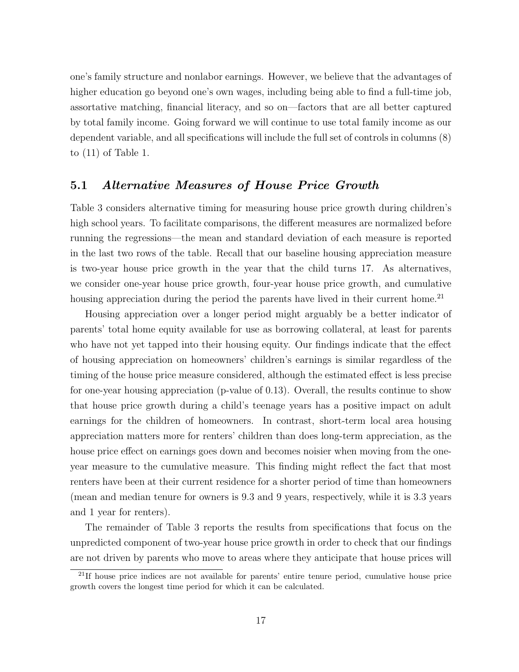one's family structure and nonlabor earnings. However, we believe that the advantages of higher education go beyond one's own wages, including being able to find a full-time job, assortative matching, financial literacy, and so on—factors that are all better captured by total family income. Going forward we will continue to use total family income as our dependent variable, and all specifications will include the full set of controls in columns (8) to (11) of Table [1.](#page-28-0)

## 5.1 Alternative Measures of House Price Growth

Table [3](#page-30-0) considers alternative timing for measuring house price growth during children's high school years. To facilitate comparisons, the different measures are normalized before running the regressions—the mean and standard deviation of each measure is reported in the last two rows of the table. Recall that our baseline housing appreciation measure is two-year house price growth in the year that the child turns 17. As alternatives, we consider one-year house price growth, four-year house price growth, and cumulative housing appreciation during the period the parents have lived in their current home.<sup>[21](#page-0-0)</sup>

Housing appreciation over a longer period might arguably be a better indicator of parents' total home equity available for use as borrowing collateral, at least for parents who have not yet tapped into their housing equity. Our findings indicate that the effect of housing appreciation on homeowners' children's earnings is similar regardless of the timing of the house price measure considered, although the estimated effect is less precise for one-year housing appreciation (p-value of 0.13). Overall, the results continue to show that house price growth during a child's teenage years has a positive impact on adult earnings for the children of homeowners. In contrast, short-term local area housing appreciation matters more for renters' children than does long-term appreciation, as the house price effect on earnings goes down and becomes noisier when moving from the oneyear measure to the cumulative measure. This finding might reflect the fact that most renters have been at their current residence for a shorter period of time than homeowners (mean and median tenure for owners is 9.3 and 9 years, respectively, while it is 3.3 years and 1 year for renters).

The remainder of Table [3](#page-30-0) reports the results from specifications that focus on the unpredicted component of two-year house price growth in order to check that our findings are not driven by parents who move to areas where they anticipate that house prices will

<sup>&</sup>lt;sup>21</sup>If house price indices are not available for parents' entire tenure period, cumulative house price growth covers the longest time period for which it can be calculated.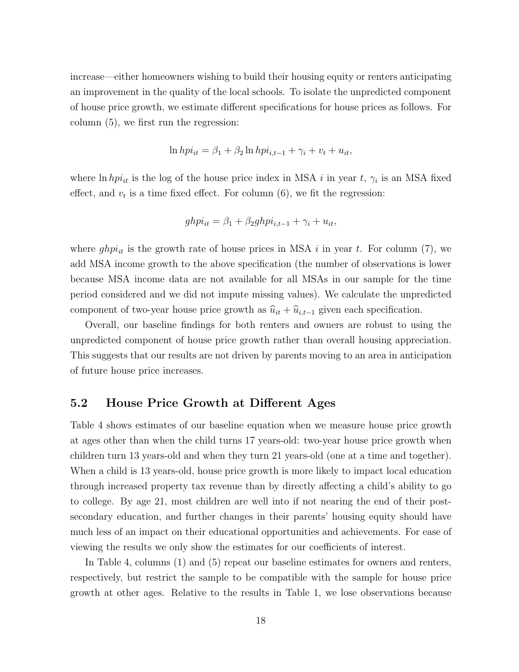increase—either homeowners wishing to build their housing equity or renters anticipating an improvement in the quality of the local schools. To isolate the unpredicted component of house price growth, we estimate different specifications for house prices as follows. For column (5), we first run the regression:

$$
\ln hpi_{it} = \beta_1 + \beta_2 \ln hpi_{i,t-1} + \gamma_i + v_t + u_{it},
$$

where  $\ln hpi_{it}$  is the log of the house price index in MSA i in year t,  $\gamma_i$  is an MSA fixed effect, and  $v_t$  is a time fixed effect. For column  $(6)$ , we fit the regression:

$$
ghpi_{it} = \beta_1 + \beta_2 ghpi_{i,t-1} + \gamma_i + u_{it},
$$

where  $ghpi_{it}$  is the growth rate of house prices in MSA i in year t. For column (7), we add MSA income growth to the above specification (the number of observations is lower because MSA income data are not available for all MSAs in our sample for the time period considered and we did not impute missing values). We calculate the unpredicted component of two-year house price growth as  $\hat{u}_{it} + \hat{u}_{i,t-1}$  given each specification.

Overall, our baseline findings for both renters and owners are robust to using the unpredicted component of house price growth rather than overall housing appreciation. This suggests that our results are not driven by parents moving to an area in anticipation of future house price increases.

## 5.2 House Price Growth at Different Ages

Table [4](#page-31-0) shows estimates of our baseline equation when we measure house price growth at ages other than when the child turns 17 years-old: two-year house price growth when children turn 13 years-old and when they turn 21 years-old (one at a time and together). When a child is 13 years-old, house price growth is more likely to impact local education through increased property tax revenue than by directly affecting a child's ability to go to college. By age 21, most children are well into if not nearing the end of their postsecondary education, and further changes in their parents' housing equity should have much less of an impact on their educational opportunities and achievements. For ease of viewing the results we only show the estimates for our coefficients of interest.

In Table [4,](#page-31-0) columns (1) and (5) repeat our baseline estimates for owners and renters, respectively, but restrict the sample to be compatible with the sample for house price growth at other ages. Relative to the results in Table [1,](#page-28-0) we lose observations because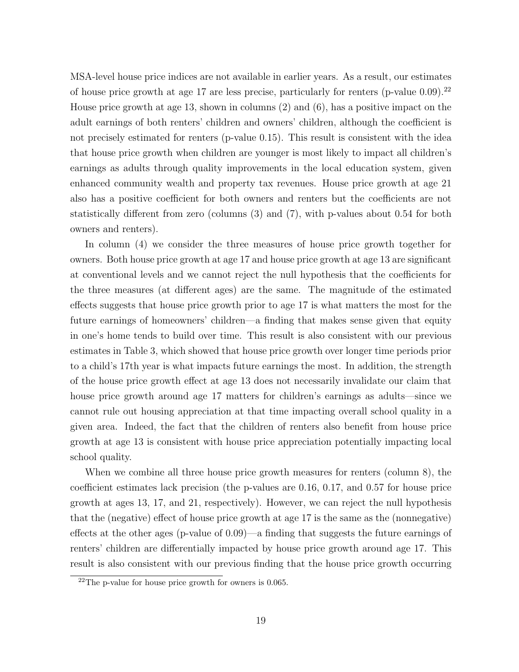MSA-level house price indices are not available in earlier years. As a result, our estimates of house price growth at age 17 are less precise, particularly for renters (p-value  $0.09$ ).<sup>[22](#page-0-0)</sup> House price growth at age 13, shown in columns (2) and (6), has a positive impact on the adult earnings of both renters' children and owners' children, although the coefficient is not precisely estimated for renters (p-value 0.15). This result is consistent with the idea that house price growth when children are younger is most likely to impact all children's earnings as adults through quality improvements in the local education system, given enhanced community wealth and property tax revenues. House price growth at age 21 also has a positive coefficient for both owners and renters but the coefficients are not statistically different from zero (columns (3) and (7), with p-values about 0.54 for both owners and renters).

In column (4) we consider the three measures of house price growth together for owners. Both house price growth at age 17 and house price growth at age 13 are significant at conventional levels and we cannot reject the null hypothesis that the coefficients for the three measures (at different ages) are the same. The magnitude of the estimated effects suggests that house price growth prior to age 17 is what matters the most for the future earnings of homeowners' children—a finding that makes sense given that equity in one's home tends to build over time. This result is also consistent with our previous estimates in Table [3,](#page-30-0) which showed that house price growth over longer time periods prior to a child's 17th year is what impacts future earnings the most. In addition, the strength of the house price growth effect at age 13 does not necessarily invalidate our claim that house price growth around age 17 matters for children's earnings as adults—since we cannot rule out housing appreciation at that time impacting overall school quality in a given area. Indeed, the fact that the children of renters also benefit from house price growth at age 13 is consistent with house price appreciation potentially impacting local school quality.

When we combine all three house price growth measures for renters (column 8), the coefficient estimates lack precision (the p-values are 0.16, 0.17, and 0.57 for house price growth at ages 13, 17, and 21, respectively). However, we can reject the null hypothesis that the (negative) effect of house price growth at age 17 is the same as the (nonnegative) effects at the other ages (p-value of 0.09)—a finding that suggests the future earnings of renters' children are differentially impacted by house price growth around age 17. This result is also consistent with our previous finding that the house price growth occurring

 $^{22}$ The p-value for house price growth for owners is 0.065.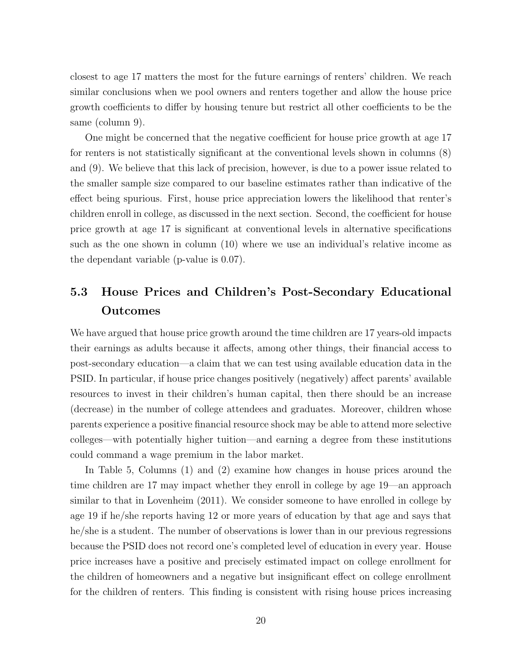closest to age 17 matters the most for the future earnings of renters' children. We reach similar conclusions when we pool owners and renters together and allow the house price growth coefficients to differ by housing tenure but restrict all other coefficients to be the same (column 9).

One might be concerned that the negative coefficient for house price growth at age 17 for renters is not statistically significant at the conventional levels shown in columns (8) and (9). We believe that this lack of precision, however, is due to a power issue related to the smaller sample size compared to our baseline estimates rather than indicative of the effect being spurious. First, house price appreciation lowers the likelihood that renter's children enroll in college, as discussed in the next section. Second, the coefficient for house price growth at age 17 is significant at conventional levels in alternative specifications such as the one shown in column (10) where we use an individual's relative income as the dependant variable (p-value is 0.07).

# 5.3 House Prices and Children's Post-Secondary Educational Outcomes

We have argued that house price growth around the time children are 17 years-old impacts their earnings as adults because it affects, among other things, their financial access to post-secondary education—a claim that we can test using available education data in the PSID. In particular, if house price changes positively (negatively) affect parents' available resources to invest in their children's human capital, then there should be an increase (decrease) in the number of college attendees and graduates. Moreover, children whose parents experience a positive financial resource shock may be able to attend more selective colleges—with potentially higher tuition—and earning a degree from these institutions could command a wage premium in the labor market.

In Table [5,](#page-32-0) Columns (1) and (2) examine how changes in house prices around the time children are 17 may impact whether they enroll in college by age 19—an approach similar to that in [Lovenheim](#page-26-1) [\(2011\)](#page-26-1). We consider someone to have enrolled in college by age 19 if he/she reports having 12 or more years of education by that age and says that he/she is a student. The number of observations is lower than in our previous regressions because the PSID does not record one's completed level of education in every year. House price increases have a positive and precisely estimated impact on college enrollment for the children of homeowners and a negative but insignificant effect on college enrollment for the children of renters. This finding is consistent with rising house prices increasing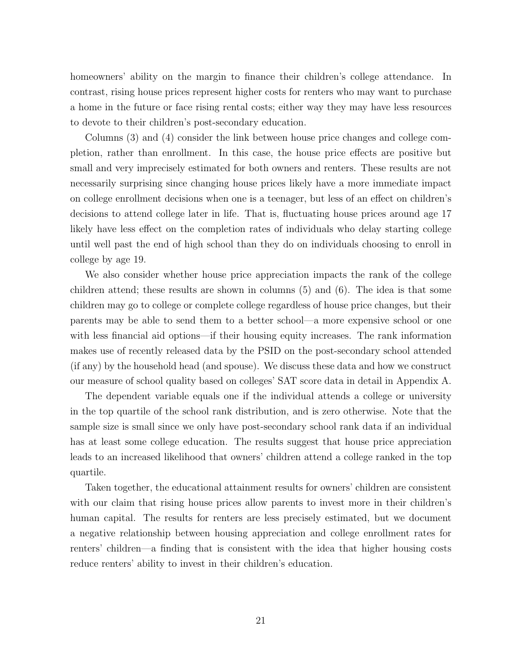homeowners' ability on the margin to finance their children's college attendance. In contrast, rising house prices represent higher costs for renters who may want to purchase a home in the future or face rising rental costs; either way they may have less resources to devote to their children's post-secondary education.

Columns (3) and (4) consider the link between house price changes and college completion, rather than enrollment. In this case, the house price effects are positive but small and very imprecisely estimated for both owners and renters. These results are not necessarily surprising since changing house prices likely have a more immediate impact on college enrollment decisions when one is a teenager, but less of an effect on children's decisions to attend college later in life. That is, fluctuating house prices around age 17 likely have less effect on the completion rates of individuals who delay starting college until well past the end of high school than they do on individuals choosing to enroll in college by age 19.

We also consider whether house price appreciation impacts the rank of the college children attend; these results are shown in columns (5) and (6). The idea is that some children may go to college or complete college regardless of house price changes, but their parents may be able to send them to a better school—a more expensive school or one with less financial aid options—if their housing equity increases. The rank information makes use of recently released data by the PSID on the post-secondary school attended (if any) by the household head (and spouse). We discuss these data and how we construct our measure of school quality based on colleges' SAT score data in detail in Appendix [A.](#page-34-0)

The dependent variable equals one if the individual attends a college or university in the top quartile of the school rank distribution, and is zero otherwise. Note that the sample size is small since we only have post-secondary school rank data if an individual has at least some college education. The results suggest that house price appreciation leads to an increased likelihood that owners' children attend a college ranked in the top quartile.

Taken together, the educational attainment results for owners' children are consistent with our claim that rising house prices allow parents to invest more in their children's human capital. The results for renters are less precisely estimated, but we document a negative relationship between housing appreciation and college enrollment rates for renters' children—a finding that is consistent with the idea that higher housing costs reduce renters' ability to invest in their children's education.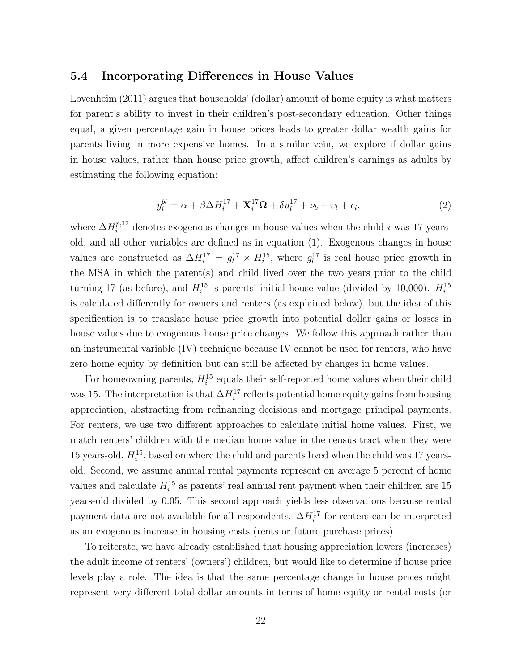### 5.4 Incorporating Differences in House Values

[Lovenheim](#page-26-1) [\(2011\)](#page-26-1) argues that households' (dollar) amount of home equity is what matters for parent's ability to invest in their children's post-secondary education. Other things equal, a given percentage gain in house prices leads to greater dollar wealth gains for parents living in more expensive homes. In a similar vein, we explore if dollar gains in house values, rather than house price growth, affect children's earnings as adults by estimating the following equation:

$$
y_i^{bl} = \alpha + \beta \Delta H_i^{17} + \mathbf{X}_i^{17} \mathbf{\Omega} + \delta u_l^{17} + \nu_b + \nu_l + \epsilon_i,
$$
\n(2)

where  $\Delta H_i^{p,17}$  denotes exogenous changes in house values when the child i was 17 yearsold, and all other variables are defined as in equation [\(1\)](#page-5-1). Exogenous changes in house values are constructed as  $\Delta H_i^{17} = g_l^{17} \times H_i^{15}$ , where  $g_l^{17}$  is real house price growth in the MSA in which the parent(s) and child lived over the two years prior to the child turning 17 (as before), and  $H_i^{15}$  is parents' initial house value (divided by 10,000).  $H_i^{15}$ is calculated differently for owners and renters (as explained below), but the idea of this specification is to translate house price growth into potential dollar gains or losses in house values due to exogenous house price changes. We follow this approach rather than an instrumental variable (IV) technique because IV cannot be used for renters, who have zero home equity by definition but can still be affected by changes in home values.

For homeowning parents,  $H_i^{15}$  equals their self-reported home values when their child was 15. The interpretation is that  $\Delta H_i^{17}$  reflects potential home equity gains from housing appreciation, abstracting from refinancing decisions and mortgage principal payments. For renters, we use two different approaches to calculate initial home values. First, we match renters' children with the median home value in the census tract when they were 15 years-old,  $H_i^{15}$ , based on where the child and parents lived when the child was 17 yearsold. Second, we assume annual rental payments represent on average 5 percent of home values and calculate  $H_i^{15}$  as parents' real annual rent payment when their children are 15 years-old divided by 0.05. This second approach yields less observations because rental payment data are not available for all respondents.  $\Delta H_i^{17}$  for renters can be interpreted as an exogenous increase in housing costs (rents or future purchase prices).

To reiterate, we have already established that housing appreciation lowers (increases) the adult income of renters' (owners') children, but would like to determine if house price levels play a role. The idea is that the same percentage change in house prices might represent very different total dollar amounts in terms of home equity or rental costs (or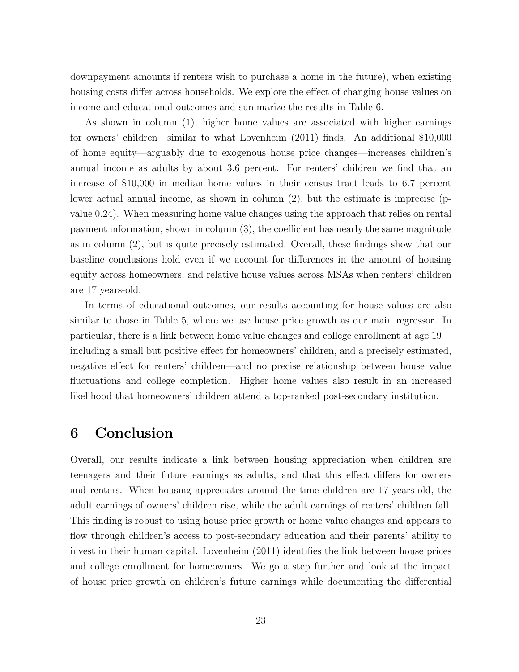downpayment amounts if renters wish to purchase a home in the future), when existing housing costs differ across households. We explore the effect of changing house values on income and educational outcomes and summarize the results in Table [6.](#page-33-0)

As shown in column (1), higher home values are associated with higher earnings for owners' children—similar to what [Lovenheim](#page-26-1) [\(2011\)](#page-26-1) finds. An additional \$10,000 of home equity—arguably due to exogenous house price changes—increases children's annual income as adults by about 3.6 percent. For renters' children we find that an increase of \$10,000 in median home values in their census tract leads to 6.7 percent lower actual annual income, as shown in column (2), but the estimate is imprecise (pvalue 0.24). When measuring home value changes using the approach that relies on rental payment information, shown in column (3), the coefficient has nearly the same magnitude as in column (2), but is quite precisely estimated. Overall, these findings show that our baseline conclusions hold even if we account for differences in the amount of housing equity across homeowners, and relative house values across MSAs when renters' children are 17 years-old.

In terms of educational outcomes, our results accounting for house values are also similar to those in Table [5,](#page-32-0) where we use house price growth as our main regressor. In particular, there is a link between home value changes and college enrollment at age 19 including a small but positive effect for homeowners' children, and a precisely estimated, negative effect for renters' children—and no precise relationship between house value fluctuations and college completion. Higher home values also result in an increased likelihood that homeowners' children attend a top-ranked post-secondary institution.

## <span id="page-23-0"></span>6 Conclusion

Overall, our results indicate a link between housing appreciation when children are teenagers and their future earnings as adults, and that this effect differs for owners and renters. When housing appreciates around the time children are 17 years-old, the adult earnings of owners' children rise, while the adult earnings of renters' children fall. This finding is robust to using house price growth or home value changes and appears to flow through children's access to post-secondary education and their parents' ability to invest in their human capital. [Lovenheim](#page-26-1) [\(2011\)](#page-26-1) identifies the link between house prices and college enrollment for homeowners. We go a step further and look at the impact of house price growth on children's future earnings while documenting the differential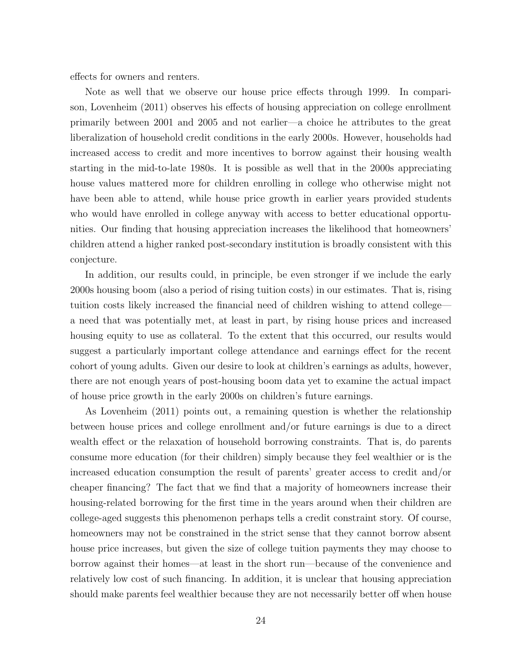effects for owners and renters.

Note as well that we observe our house price effects through 1999. In comparison, [Lovenheim](#page-26-1) [\(2011\)](#page-26-1) observes his effects of housing appreciation on college enrollment primarily between 2001 and 2005 and not earlier—a choice he attributes to the great liberalization of household credit conditions in the early 2000s. However, households had increased access to credit and more incentives to borrow against their housing wealth starting in the mid-to-late 1980s. It is possible as well that in the 2000s appreciating house values mattered more for children enrolling in college who otherwise might not have been able to attend, while house price growth in earlier years provided students who would have enrolled in college anyway with access to better educational opportunities. Our finding that housing appreciation increases the likelihood that homeowners' children attend a higher ranked post-secondary institution is broadly consistent with this conjecture.

In addition, our results could, in principle, be even stronger if we include the early 2000s housing boom (also a period of rising tuition costs) in our estimates. That is, rising tuition costs likely increased the financial need of children wishing to attend college a need that was potentially met, at least in part, by rising house prices and increased housing equity to use as collateral. To the extent that this occurred, our results would suggest a particularly important college attendance and earnings effect for the recent cohort of young adults. Given our desire to look at children's earnings as adults, however, there are not enough years of post-housing boom data yet to examine the actual impact of house price growth in the early 2000s on children's future earnings.

As [Lovenheim](#page-26-1) [\(2011\)](#page-26-1) points out, a remaining question is whether the relationship between house prices and college enrollment and/or future earnings is due to a direct wealth effect or the relaxation of household borrowing constraints. That is, do parents consume more education (for their children) simply because they feel wealthier or is the increased education consumption the result of parents' greater access to credit and/or cheaper financing? The fact that we find that a majority of homeowners increase their housing-related borrowing for the first time in the years around when their children are college-aged suggests this phenomenon perhaps tells a credit constraint story. Of course, homeowners may not be constrained in the strict sense that they cannot borrow absent house price increases, but given the size of college tuition payments they may choose to borrow against their homes—at least in the short run—because of the convenience and relatively low cost of such financing. In addition, it is unclear that housing appreciation should make parents feel wealthier because they are not necessarily better off when house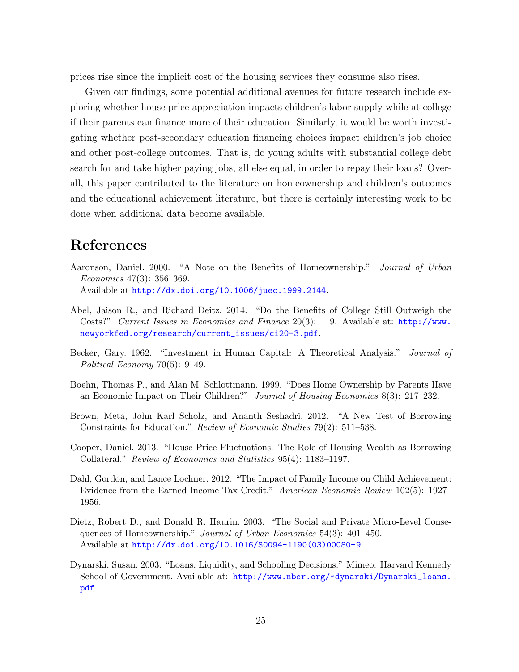prices rise since the implicit cost of the housing services they consume also rises.

Given our findings, some potential additional avenues for future research include exploring whether house price appreciation impacts children's labor supply while at college if their parents can finance more of their education. Similarly, it would be worth investigating whether post-secondary education financing choices impact children's job choice and other post-college outcomes. That is, do young adults with substantial college debt search for and take higher paying jobs, all else equal, in order to repay their loans? Overall, this paper contributed to the literature on homeownership and children's outcomes and the educational achievement literature, but there is certainly interesting work to be done when additional data become available.

# References

<span id="page-25-1"></span>Aaronson, Daniel. 2000. "A Note on the Benefits of Homeownership." Journal of Urban Economics 47(3): 356–369.

Available at <http://dx.doi.org/10.1006/juec.1999.2144>.

- <span id="page-25-8"></span>Abel, Jaison R., and Richard Deitz. 2014. "Do the Benefits of College Still Outweigh the Costs?" Current Issues in Economics and Finance 20(3): 1–9. Available at: [http://www.]( http://www.newyorkfed.org/research/current_issues/ci20-3.pdf) [newyorkfed.org/research/current\\_issues/ci20-3.pdf]( http://www.newyorkfed.org/research/current_issues/ci20-3.pdf).
- <span id="page-25-7"></span>Becker, Gary. 1962. "Investment in Human Capital: A Theoretical Analysis." Journal of Political Economy 70(5): 9–49.
- <span id="page-25-3"></span>Boehn, Thomas P., and Alan M. Schlottmann. 1999. "Does Home Ownership by Parents Have an Economic Impact on Their Children?" Journal of Housing Economics 8(3): 217–232.
- <span id="page-25-5"></span>Brown, Meta, John Karl Scholz, and Ananth Seshadri. 2012. "A New Test of Borrowing Constraints for Education." Review of Economic Studies 79(2): 511–538.
- <span id="page-25-0"></span>Cooper, Daniel. 2013. "House Price Fluctuations: The Role of Housing Wealth as Borrowing Collateral." Review of Economics and Statistics 95(4): 1183–1197.
- <span id="page-25-6"></span>Dahl, Gordon, and Lance Lochner. 2012. "The Impact of Family Income on Child Achievement: Evidence from the Earned Income Tax Credit." American Economic Review 102(5): 1927– 1956.
- <span id="page-25-2"></span>Dietz, Robert D., and Donald R. Haurin. 2003. "The Social and Private Micro-Level Consequences of Homeownership." Journal of Urban Economics 54(3): 401-450. Available at [http://dx.doi.org/10.1016/S0094-1190\(03\)00080-9](http://dx.doi.org/10.1016/S0094-1190(03)00080-9).
- <span id="page-25-4"></span>Dynarski, Susan. 2003. "Loans, Liquidity, and Schooling Decisions." Mimeo: Harvard Kennedy School of Government. Available at: [http://www.nber.org/~dynarski/Dynarski\\_loans.](http://www.nber.org/~dynarski/Dynarski_loans.pdf) [pdf](http://www.nber.org/~dynarski/Dynarski_loans.pdf).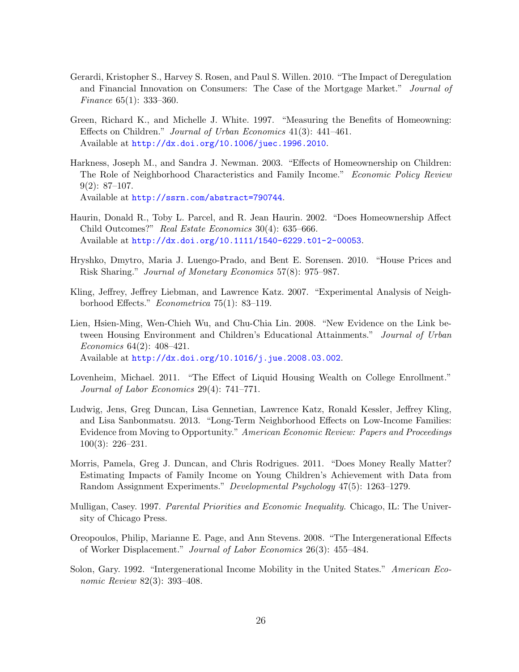- <span id="page-26-10"></span>Gerardi, Kristopher S., Harvey S. Rosen, and Paul S. Willen. 2010. "The Impact of Deregulation and Financial Innovation on Consumers: The Case of the Mortgage Market." Journal of Finance 65(1): 333–360.
- <span id="page-26-2"></span>Green, Richard K., and Michelle J. White. 1997. "Measuring the Benefits of Homeowning: Effects on Children." Journal of Urban Economics 41(3): 441–461. Available at <http://dx.doi.org/10.1006/juec.1996.2010>.
- <span id="page-26-4"></span>Harkness, Joseph M., and Sandra J. Newman. 2003. "Effects of Homeownership on Children: The Role of Neighborhood Characteristics and Family Income." Economic Policy Review 9(2): 87–107.

Available at <http://ssrn.com/abstract=790744>.

- <span id="page-26-3"></span>Haurin, Donald R., Toby L. Parcel, and R. Jean Haurin. 2002. "Does Homeownership Affect Child Outcomes?" Real Estate Economics 30(4): 635–666. Available at <http://dx.doi.org/10.1111/1540-6229.t01-2-00053>.
- <span id="page-26-0"></span>Hryshko, Dmytro, Maria J. Luengo-Prado, and Bent E. Sorensen. 2010. "House Prices and Risk Sharing." Journal of Monetary Economics 57(8): 975–987.
- <span id="page-26-12"></span>Kling, Jeffrey, Jeffrey Liebman, and Lawrence Katz. 2007. "Experimental Analysis of Neighborhood Effects." Econometrica 75(1): 83–119.
- <span id="page-26-5"></span>Lien, Hsien-Ming, Wen-Chieh Wu, and Chu-Chia Lin. 2008. "New Evidence on the Link between Housing Environment and Children's Educational Attainments." Journal of Urban Economics 64(2): 408–421. Available at <http://dx.doi.org/10.1016/j.jue.2008.03.002>.
- <span id="page-26-1"></span>Lovenheim, Michael. 2011. "The Effect of Liquid Housing Wealth on College Enrollment." Journal of Labor Economics 29(4): 741–771.
- <span id="page-26-11"></span>Ludwig, Jens, Greg Duncan, Lisa Gennetian, Lawrence Katz, Ronald Kessler, Jeffrey Kling, and Lisa Sanbonmatsu. 2013. "Long-Term Neighborhood Effects on Low-Income Families: Evidence from Moving to Opportunity." American Economic Review: Papers and Proceedings 100(3): 226–231.
- <span id="page-26-7"></span>Morris, Pamela, Greg J. Duncan, and Chris Rodrigues. 2011. "Does Money Really Matter? Estimating Impacts of Family Income on Young Children's Achievement with Data from Random Assignment Experiments." Developmental Psychology 47(5): 1263–1279.
- <span id="page-26-8"></span>Mulligan, Casey. 1997. Parental Priorities and Economic Inequality. Chicago, IL: The University of Chicago Press.
- <span id="page-26-6"></span>Oreopoulos, Philip, Marianne E. Page, and Ann Stevens. 2008. "The Intergenerational Effects of Worker Displacement." Journal of Labor Economics 26(3): 455–484.
- <span id="page-26-9"></span>Solon, Gary. 1992. "Intergenerational Income Mobility in the United States." American Economic Review 82(3): 393–408.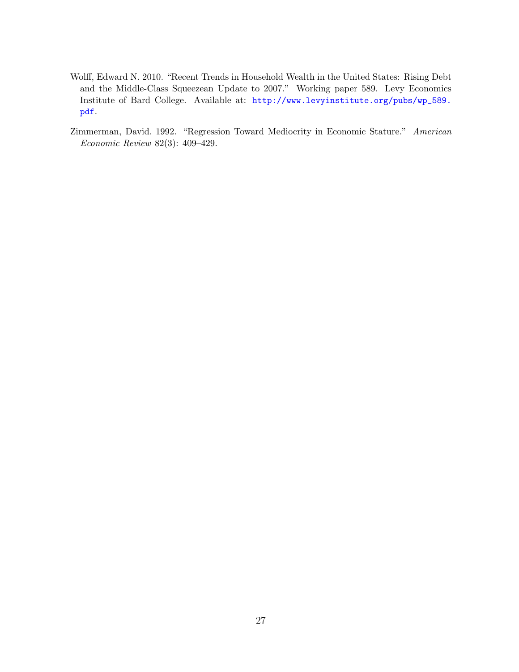- <span id="page-27-0"></span>Wolff, Edward N. 2010. "Recent Trends in Household Wealth in the United States: Rising Debt and the Middle-Class Squeezean Update to 2007." Working paper 589. Levy Economics Institute of Bard College. Available at: [http://www.levyinstitute.org/pubs/wp\\_589.]( http://www.levyinstitute.org/pubs/wp_589.pdf) [pdf]( http://www.levyinstitute.org/pubs/wp_589.pdf).
- <span id="page-27-1"></span>Zimmerman, David. 1992. "Regression Toward Mediocrity in Economic Stature." American Economic Review 82(3): 409–429.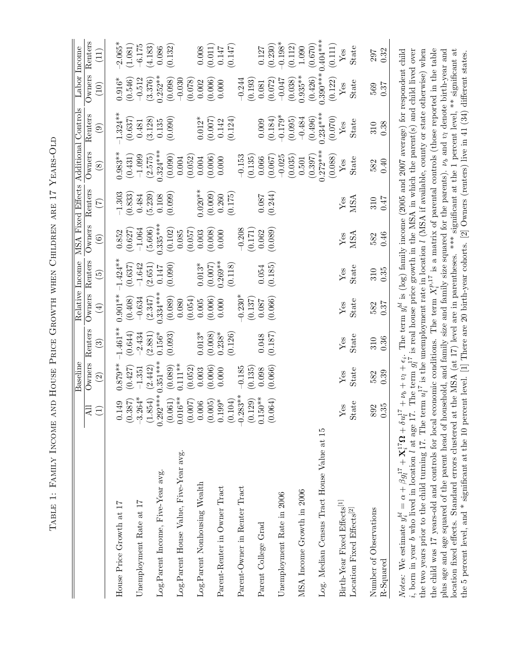<span id="page-28-0"></span>

|                                                                                                                                                                                                                                                                                               |                                                | Baseline           |             |               | Relative Income          |                        |                                                                        |                            | MSA Fixed Effects Additional Controls                                                                     |                        | Labor Income       |
|-----------------------------------------------------------------------------------------------------------------------------------------------------------------------------------------------------------------------------------------------------------------------------------------------|------------------------------------------------|--------------------|-------------|---------------|--------------------------|------------------------|------------------------------------------------------------------------|----------------------------|-----------------------------------------------------------------------------------------------------------|------------------------|--------------------|
|                                                                                                                                                                                                                                                                                               | Ę                                              | Owners             | Renters     | Owners        | Renters                  | Owners                 | Renters                                                                | Owners                     | Renters                                                                                                   | Owners                 | Renters            |
|                                                                                                                                                                                                                                                                                               | $\left( \begin{matrix} 1 \end{matrix} \right)$ | $\widehat{\Omega}$ | ల           | $\widehat{A}$ | $\widetilde{\mathbf{e}}$ | $\widehat{\mathbf{e}}$ | E                                                                      | $\overset{\infty}{\infty}$ | ම                                                                                                         | (10)                   | $\Xi$              |
|                                                                                                                                                                                                                                                                                               |                                                |                    |             |               |                          |                        |                                                                        |                            |                                                                                                           |                        |                    |
| House Price Growth at 17                                                                                                                                                                                                                                                                      | 0.149                                          | $0.879**$          | $-1.461***$ | $0.901**$     | $-1.424**$               | 0.852                  | $-1.303$                                                               | $0.983**$                  | $1.324***$                                                                                                | $0.916*$               | $-2.065*$          |
|                                                                                                                                                                                                                                                                                               | (0.387)                                        | (0.427)            | (0.644)     | (0.408)       | (0.637)                  | (0.627)                | (0.833)                                                                | (0.431)                    | (0.637)                                                                                                   | (0.546)                | (1.081)            |
| Unemployment Rate at 17                                                                                                                                                                                                                                                                       | $-3.264*$                                      | $-1.351$           | $-2.434$    | $-0.634$      | $-1.642$                 | $-1.064$               | 0.484                                                                  | $-1.099$                   | 0.481                                                                                                     | $-0.512$               | $-6.175$           |
|                                                                                                                                                                                                                                                                                               | (1.854)                                        | (2.442)            | (2.881)     | (2.347)       | (2.651)                  | (5.606)                | (5.239)                                                                | (2.575)                    | (3.128)                                                                                                   | (3.376)                | (4.183)            |
| Log.Parent Income, Five-Year avg.                                                                                                                                                                                                                                                             | $0.292***$                                     | $0.351***$         | $0.156*$    | $0.334***$    | 0.147                    | $0.335***$             | 0.108                                                                  | $0.324***$                 | 0.135                                                                                                     | $0.252***$             | 0.086              |
|                                                                                                                                                                                                                                                                                               | (0.061)                                        | (0.089)            | (0.093)     | (0.089)       | (0.090)                  | (0.102)                | (0.099)                                                                | (0.090)                    | (0.090)                                                                                                   | (0.098)                | (0.132)            |
| Log.Parent House Value, Five-Year avg.                                                                                                                                                                                                                                                        | $0.016**$                                      | $0.111**$          |             | 0.080         |                          | 0.085                  |                                                                        | 0.004                      |                                                                                                           | $-0.030$               |                    |
|                                                                                                                                                                                                                                                                                               | (0.007)                                        | (0.052)            |             | (0.054)       |                          | (0.057)                |                                                                        | (0.052)                    |                                                                                                           | (0.078)                |                    |
| Log.Parent Nonhousing Wealth                                                                                                                                                                                                                                                                  | 0.006                                          | 0.003              | $0.013*$    | 0.005         | $0.013*$                 | 0.003                  | $0.020**$                                                              | 0.004                      | $0.012*$                                                                                                  | 0.002                  | 0.008              |
|                                                                                                                                                                                                                                                                                               | (0.005)                                        | (0.006)            | (0.008)     | (0.006)       | $(0.007)$<br>0.269**     | (0.008)                | (0.009)                                                                | (0.006)                    | (0.007)                                                                                                   | (0.006)                | $(0.011)$<br>0.147 |
| Parent-Renter in Owner Tract                                                                                                                                                                                                                                                                  | $0.199*$                                       | 0.000              | $0.238*$    | 0.000         |                          | 0.000                  | 0.260                                                                  | 0.000                      | 0.142                                                                                                     | 0.000                  |                    |
|                                                                                                                                                                                                                                                                                               | (0.104)                                        |                    | (0.126)     |               | (0.118)                  |                        | (0.175)                                                                |                            | (0.124)                                                                                                   |                        | (741)              |
| Parent-Owner in Renter Tract                                                                                                                                                                                                                                                                  | $0.283**$                                      | $-0.185$           |             | $0.230*$      |                          | $-0.208$               |                                                                        | $-0.153$                   |                                                                                                           | $-0.244$               |                    |
|                                                                                                                                                                                                                                                                                               | (0.129)                                        | (0.135)            |             | (0.137)       |                          | (0.171)                |                                                                        | (0.135)                    |                                                                                                           | (0.193)                |                    |
| Parent College Grad                                                                                                                                                                                                                                                                           | $.150***$                                      | 0.098              | 0.048       | 0.087         | 0.054                    | 0.062                  | 0.087                                                                  |                            | 0.009                                                                                                     | 0.081                  | 0.127              |
|                                                                                                                                                                                                                                                                                               | (0.064)                                        | (0.066)            | (0.187)     | (0.066)       | (0.185)                  | (0.089)                | (0.244)                                                                | $(0.066$<br>$(0.067)$      | (0.184)                                                                                                   | (0.072)                | (0.230)            |
| Unemployment Rate in 2006                                                                                                                                                                                                                                                                     |                                                |                    |             |               |                          |                        |                                                                        | $-0.025$                   | $-0.179*$                                                                                                 | $-0.047$               | $-0.198*$          |
|                                                                                                                                                                                                                                                                                               |                                                |                    |             |               |                          |                        |                                                                        | (0.035)                    | (0.095)                                                                                                   | $(0.038)$<br>$0.935**$ | (0.112)            |
| MSA Income Growth in 2006                                                                                                                                                                                                                                                                     |                                                |                    |             |               |                          |                        |                                                                        | 0.501                      | $-0.484$                                                                                                  |                        | $1.090\,$          |
|                                                                                                                                                                                                                                                                                               |                                                |                    |             |               |                          |                        |                                                                        | (0.397)                    | $(0.496)$<br>0.234 ***                                                                                    | (0.426)                | (0.670)            |
| Log. Median Census Tract House Value at 15                                                                                                                                                                                                                                                    |                                                |                    |             |               |                          |                        |                                                                        | $0.272***$                 |                                                                                                           | $0.390***$             | 0.404***           |
|                                                                                                                                                                                                                                                                                               |                                                |                    |             |               |                          |                        |                                                                        | (0.088)                    | (0.070)                                                                                                   | (0.122)                | (0.111)            |
| Birth-Year Fixed Effects[1]                                                                                                                                                                                                                                                                   | Yes                                            | Yes                | ${\rm Yes}$ | ${\rm Yes}$   | ${\rm Yes}$              | ${\rm Yes}$            | ${\rm Yes}$                                                            | Yes                        | ${\rm Yes}$                                                                                               | ${\rm Yes}$            | ${\rm Yes}$        |
| Location Fixed Effects <sup>[2]</sup>                                                                                                                                                                                                                                                         | State                                          | State              | State       | State         | State                    | <b>NSA</b>             | <b>NSA</b>                                                             | <b>State</b>               | State                                                                                                     | State                  | State              |
|                                                                                                                                                                                                                                                                                               |                                                |                    |             |               |                          |                        |                                                                        |                            |                                                                                                           |                        |                    |
| Number of Observations                                                                                                                                                                                                                                                                        | 892                                            | 582                | 310         | 582           | 310                      | 582                    | 310                                                                    | 582                        | 310                                                                                                       | 569                    | 297                |
| R-Squared                                                                                                                                                                                                                                                                                     | 0.35                                           | 0.39               | 0.36        | 0.37          | 0.35                     | 0.46                   | 0.47                                                                   | 0.40                       | 0.38                                                                                                      | 0.37                   | 0.32               |
| <i>Notes:</i> We estimate $y_i^{bl} = \alpha + \beta g_i^{17} + \mathbf{X}_i^{17} \Omega + \delta u_i^{17} + \nu_b + \nu_b + \epsilon_i$ . The term $y_i^{bl}$ is (log) family income (2005 and 2007 average) for respondent child<br>$i$ , born in year $b$ who lived in location $l$ at age |                                                |                    |             |               |                          |                        |                                                                        |                            | 17. The term $g_l^{17}$ is real house price growth in the MSA in which the parent(s) and child lived over |                        |                    |
| Alexandre Parameter + Chili International IT of Inc.                                                                                                                                                                                                                                          |                                                |                    |             |               |                          |                        | $\frac{17}{100}$ is the unamplarant rate in leastige I (MQ if erricle) |                            | $\alpha$                                                                                                  |                        |                    |

TABLE 1: FAMILY INCOME AND HOUSE PRICE GROWTH WHEN CHILDREN ARE 17 YEARS-OLD Table 1: Family Income and House Price Growth when Children are 17 Years-Old

the two years prior to the child turning 17. The term  $u^{17}_l$  $i<sup>17</sup>$  is the unemployment rate in location l (MSA if available, county or state otherwise) when the child was 17 years-old and controls for local economic conditions. The term<br>since and can control of the monotonic conditions. The term  $X^{p,17}$ i $i^{p+1}$  is a matrix of parental controls (those reported in the table plus age and age squared of the parent head of household, and family size and family size squared for the parents).  $\nu_{b}$  and  $v_l$  denote birth-year and location fixed effects. Standard errors clustered at the MSA (at 17) level are in parentheses. \*\*\* significant at the 1 percent level, \*\* significant at the 5 percent level, and \* significant at the 10 percent level. [1] There are 20 birth-year cohorts. [2] Owners (renters) live in 41 (34) different states.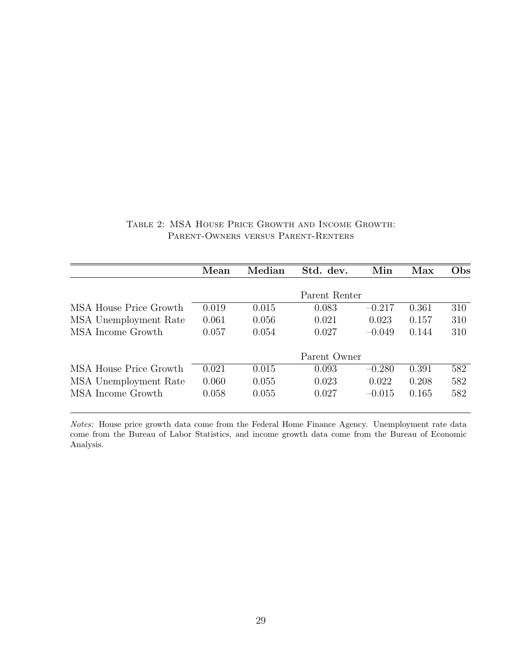<span id="page-29-0"></span>

|                        | Mean  | Median | Std. dev.     | Min      | Max   | Obs |
|------------------------|-------|--------|---------------|----------|-------|-----|
|                        |       |        |               |          |       |     |
|                        |       |        | Parent Renter |          |       |     |
| MSA House Price Growth | 0.019 | 0.015  | 0.083         | $-0.217$ | 0.361 | 310 |
| MSA Unemployment Rate  | 0.061 | 0.056  | 0.021         | 0.023    | 0.157 | 310 |
| MSA Income Growth      | 0.057 | 0.054  | 0.027         | $-0.049$ | 0.144 | 310 |
|                        |       |        | Parent Owner  |          |       |     |
| MSA House Price Growth | 0.021 | 0.015  | 0.093         | $-0.280$ | 0.391 | 582 |
| MSA Unemployment Rate  | 0.060 | 0.055  | 0.023         | 0.022    | 0.208 | 582 |
| MSA Income Growth      | 0.058 | 0.055  | 0.027         | $-0.015$ | 0.165 | 582 |

## Table 2: MSA House Price Growth and Income Growth: Parent-Owners versus Parent-Renters

Notes: House price growth data come from the Federal Home Finance Agency. Unemployment rate data come from the Bureau of Labor Statistics, and income growth data come from the Bureau of Economic Analysis.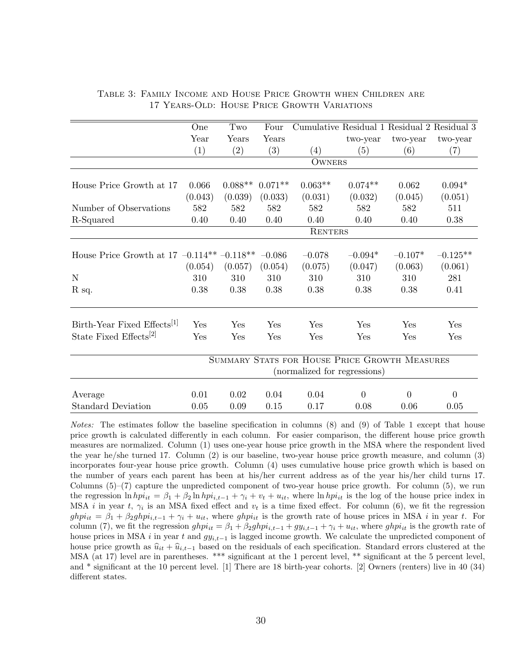|                                              | One                  | Two       | Four      | Cumulative Residual 1 Residual 2 Residual 3   |           |                |                |
|----------------------------------------------|----------------------|-----------|-----------|-----------------------------------------------|-----------|----------------|----------------|
|                                              | Year                 | Years     | Years     |                                               | two-year  | two-year       | two-year       |
|                                              | (1)                  | (2)       | (3)       | (4)                                           | (5)       | (6)            | (7)            |
|                                              |                      |           |           | <b>OWNERS</b>                                 |           |                |                |
| House Price Growth at 17                     | 0.066                | $0.088**$ | $0.071**$ | $0.063**$                                     | $0.074**$ | 0.062          | $0.094*$       |
|                                              | (0.043)              | (0.039)   | (0.033)   | (0.031)                                       | (0.032)   | (0.045)        | (0.051)        |
| Number of Observations                       | 582                  | 582       | 582       | 582                                           | 582       | 582            | 511            |
| R-Squared                                    | 0.40                 | 0.40      | 0.40      | 0.40                                          | 0.40      | 0.40           | 0.38           |
|                                              |                      |           |           | <b>RENTERS</b>                                |           |                |                |
|                                              |                      |           |           |                                               |           |                |                |
| House Price Growth at $17 -0.114** -0.118**$ |                      |           | $-0.086$  | $-0.078$                                      | $-0.094*$ | $-0.107*$      | $-0.125**$     |
|                                              | (0.054)              | (0.057)   | (0.054)   | (0.075)                                       | (0.047)   | (0.063)        | (0.061)        |
| N                                            | 310                  | 310       | 310       | 310                                           | 310       | 310            | 281            |
| R sq.                                        | 0.38                 | 0.38      | 0.38      | 0.38                                          | 0.38      | 0.38           | 0.41           |
| Birth-Year Fixed Effects <sup>[1]</sup>      | Yes                  | Yes       | Yes       | Yes                                           | Yes       | Yes            | Yes            |
| State Fixed Effects <sup>[2]</sup>           | $\operatorname{Yes}$ | Yes       | Yes       | Yes                                           | Yes       | Yes            | Yes            |
|                                              |                      |           |           | SUMMARY STATS FOR HOUSE PRICE GROWTH MEASURES |           |                |                |
|                                              |                      |           |           | (normalized for regressions)                  |           |                |                |
| Average                                      | 0.01                 | 0.02      | 0.04      | 0.04                                          | $\Omega$  | $\overline{0}$ | $\overline{0}$ |
| <b>Standard Deviation</b>                    | 0.05                 | 0.09      | 0.15      | 0.17                                          | 0.08      | 0.06           | 0.05           |

<span id="page-30-0"></span>Table 3: Family Income and House Price Growth when Children are 17 Years-Old: House Price Growth Variations

Notes: The estimates follow the baseline specification in columns (8) and (9) of Table [1](#page-28-0) except that house price growth is calculated differently in each column. For easier comparison, the different house price growth measures are normalized. Column (1) uses one-year house price growth in the MSA where the respondent lived the year he/she turned 17. Column (2) is our baseline, two-year house price growth measure, and column (3) incorporates four-year house price growth. Column (4) uses cumulative house price growth which is based on the number of years each parent has been at his/her current address as of the year his/her child turns 17. Columns (5)–(7) capture the unpredicted component of two-year house price growth. For column (5), we run the regression  $\ln hpi_{it} = \beta_1 + \beta_2 \ln hpi_{i,t-1} + \gamma_i + v_t + u_{it}$ , where  $\ln hpi_{it}$  is the log of the house price index in MSA *i* in year t,  $\gamma_i$  is an MSA fixed effect and  $v_t$  is a time fixed effect. For column (6), we fit the regression  $ghpii_i = \beta_1 + \beta_2 ghpi_{i,t-1} + \gamma_i + u_{it}$ , where  $ghpi_{it}$  is the growth rate of house prices in MSA *i* in year t. For column (7), we fit the regression  $ghpi_{it} = \beta_1 + \beta_2 ghpi_{i,t-1} + gy_{i,t-1} + \gamma_i + u_{it}$ , where  $ghpi_{it}$  is the growth rate of house prices in MSA i in year t and  $gy_{i,t-1}$  is lagged income growth. We calculate the unpredicted component of house price growth as  $\hat{u}_{it} + \hat{u}_{i,t-1}$  based on the residuals of each specification. Standard errors clustered at the MSA (at 17) level are in parentheses. \*\*\* significant at the 1 percent level, \*\* significant at the 5 percent level, and \* significant at the 10 percent level. [1] There are 18 birth-year cohorts. [2] Owners (renters) live in 40 (34) different states.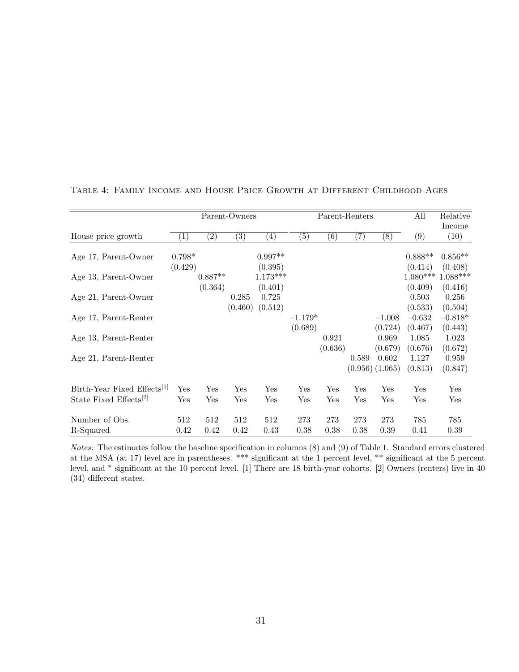|                                         |                  |                   | Parent-Owners    |                       |                  | Parent-Renters   |                   |                     | All                   | Relative<br>Income    |
|-----------------------------------------|------------------|-------------------|------------------|-----------------------|------------------|------------------|-------------------|---------------------|-----------------------|-----------------------|
| House price growth                      | $\left(1\right)$ | $\left( 2\right)$ | $\overline{(3)}$ | $\left( 4\right)$     | $\overline{(5)}$ | $\overline{(6)}$ | $\left( 7\right)$ | $\overline{(8)}$    | (9)                   | (10)                  |
| Age 17, Parent-Owner                    | $0.798*$         |                   |                  | $0.997**$             |                  |                  |                   |                     | $0.888**$             | $0.856**$             |
| Age 13, Parent-Owner                    | (0.429)          | $0.887**$         |                  | (0.395)<br>$1.173***$ |                  |                  |                   |                     | (0.414)<br>$1.080***$ | (0.408)<br>$1.088***$ |
| Age 21, Parent-Owner                    |                  | (0.364)           | 0.285            | (0.401)<br>0.725      |                  |                  |                   |                     | (0.409)<br>0.503      | (0.416)<br>0.256      |
| Age 17, Parent-Renter                   |                  |                   | (0.460)          | (0.512)               | $-1.179*$        |                  |                   | $-1.008$            | (0.533)<br>$-0.632$   | (0.504)<br>$-0.818*$  |
| Age 13, Parent-Renter                   |                  |                   |                  |                       | (0.689)          | 0.921            |                   | (0.724)<br>0.969    | (0.467)<br>1.085      | (0.443)<br>1.023      |
| Age 21, Parent-Renter                   |                  |                   |                  |                       |                  | (0.636)          | 0.589             | (0.679)<br>0.602    | (0.676)<br>1.127      | (0.672)<br>0.959      |
|                                         |                  |                   |                  |                       |                  |                  |                   | $(0.956)$ $(1.065)$ | (0.813)               | (0.847)               |
| Birth-Year Fixed Effects <sup>[1]</sup> | Yes              | Yes               | $_{\rm Yes}$     | Yes                   | Yes              | Yes              | Yes               | Yes                 | Yes                   | Yes                   |
| State Fixed Effects <sup>[2]</sup>      | Yes              | Yes               | $_{\rm Yes}$     | Yes                   | $_{\rm Yes}$     | Yes              | Yes               | Yes                 | Yes                   | Yes                   |
| Number of Obs.                          | 512              | 512               | 512              | 512                   | 273              | 273              | 273               | 273                 | 785                   | 785                   |
| R-Squared                               | 0.42             | 0.42              | 0.42             | 0.43                  | 0.38             | 0.38             | 0.38              | 0.39                | 0.41                  | 0.39                  |

<span id="page-31-0"></span>Table 4: Family Income and House Price Growth at Different Childhood Ages

Notes: The estimates follow the baseline specification in columns (8) and (9) of Table [1.](#page-28-0) Standard errors clustered at the MSA (at 17) level are in parentheses. \*\*\* significant at the 1 percent level, \*\* significant at the 5 percent level, and \* significant at the 10 percent level. [1] There are 18 birth-year cohorts. [2] Owners (renters) live in 40 (34) different states.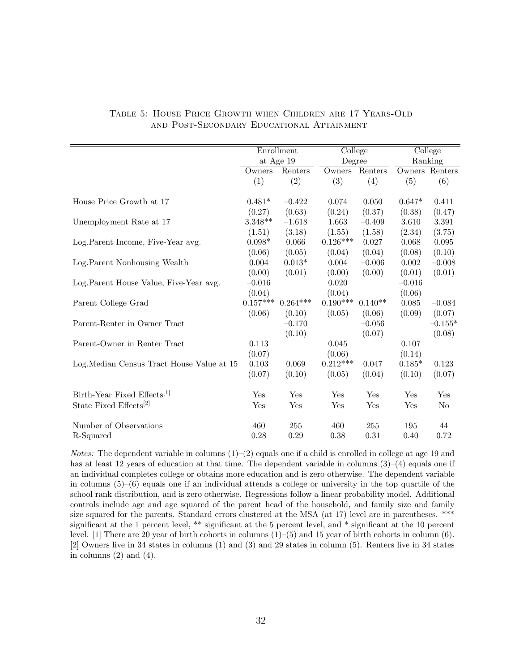|                                            |            | Enrollment | College    |           |          | College        |
|--------------------------------------------|------------|------------|------------|-----------|----------|----------------|
|                                            |            | at Age 19  | Degree     |           |          | Ranking        |
|                                            | Owners     | Renters    | Owners     | Renters   |          | Owners Renters |
|                                            | (1)        | (2)        | (3)        | (4)       | (5)      | (6)            |
|                                            |            |            |            |           |          |                |
| House Price Growth at 17                   | $0.481*$   | $-0.422$   | 0.074      | 0.050     | $0.647*$ | 0.411          |
|                                            | (0.27)     | (0.63)     | (0.24)     | (0.37)    | (0.38)   | (0.47)         |
| Unemployment Rate at 17                    | $3.348**$  | $-1.618$   | 1.663      | $-0.409$  | 3.610    | 3.391          |
|                                            | (1.51)     | (3.18)     | (1.55)     | (1.58)    | (2.34)   | (3.75)         |
| Log. Parent Income, Five-Year avg.         | $0.098*$   | 0.066      | $0.126***$ | 0.027     | 0.068    | 0.095          |
|                                            | (0.06)     | (0.05)     | (0.04)     | (0.04)    | (0.08)   | (0.10)         |
| Log. Parent Nonhousing Wealth              | 0.004      | $0.013*$   | 0.004      | $-0.006$  | 0.002    | $-0.008$       |
|                                            | (0.00)     | (0.01)     | (0.00)     | (0.00)    | (0.01)   | (0.01)         |
| Log. Parent House Value, Five-Year avg.    | $-0.016$   |            | 0.020      |           | $-0.016$ |                |
|                                            | (0.04)     |            | (0.04)     |           | (0.06)   |                |
| Parent College Grad                        | $0.157***$ | $0.264***$ | $0.190***$ | $0.140**$ | 0.085    | $-0.084$       |
|                                            | (0.06)     | (0.10)     | (0.05)     | (0.06)    | (0.09)   | (0.07)         |
| Parent-Renter in Owner Tract               |            | $-0.170$   |            | $-0.056$  |          | $-0.155*$      |
|                                            |            | (0.10)     |            | (0.07)    |          | (0.08)         |
| Parent-Owner in Renter Tract               | 0.113      |            | 0.045      |           | 0.107    |                |
|                                            | (0.07)     |            | (0.06)     |           | (0.14)   |                |
| Log. Median Census Tract House Value at 15 | 0.103      | 0.069      | $0.212***$ | 0.047     | $0.185*$ | 0.123          |
|                                            | (0.07)     | (0.10)     | (0.05)     | (0.04)    | (0.10)   | (0.07)         |
|                                            |            |            |            |           |          |                |
| Birth-Year Fixed Effects <sup>[1]</sup>    | Yes        | Yes        | Yes        | Yes       | Yes      | Yes            |
| State Fixed Effects <sup>[2]</sup>         | Yes        | Yes        | Yes        | Yes       | Yes      | No             |
|                                            |            |            |            |           |          |                |
| Number of Observations                     | 460        | 255        | 460        | 255       | 195      | 44             |
| R-Squared                                  | 0.28       | 0.29       | 0.38       | 0.31      | 0.40     | 0.72           |

#### <span id="page-32-0"></span>Table 5: House Price Growth when Children are 17 Years-Old and Post-Secondary Educational Attainment

*Notes:* The dependent variable in columns  $(1)$ – $(2)$  equals one if a child is enrolled in college at age 19 and has at least 12 years of education at that time. The dependent variable in columns  $(3)-(4)$  equals one if an individual completes college or obtains more education and is zero otherwise. The dependent variable in columns  $(5)$ – $(6)$  equals one if an individual attends a college or university in the top quartile of the school rank distribution, and is zero otherwise. Regressions follow a linear probability model. Additional controls include age and age squared of the parent head of the household, and family size and family size squared for the parents. Standard errors clustered at the MSA (at 17) level are in parentheses. \*\*\* significant at the 1 percent level, \*\* significant at the 5 percent level, and \* significant at the 10 percent level. [1] There are 20 year of birth cohorts in columns (1)–(5) and 15 year of birth cohorts in column (6). [2] Owners live in 34 states in columns (1) and (3) and 29 states in column (5). Renters live in 34 states in columns  $(2)$  and  $(4)$ .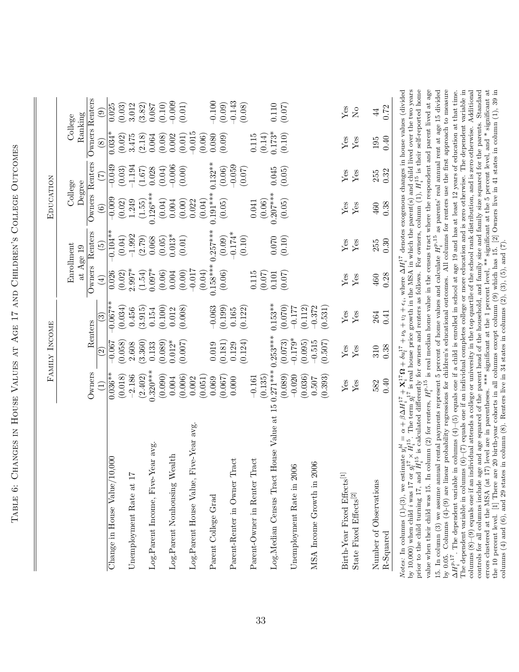<span id="page-33-0"></span>

|                                                                                                                                                                                                                                                                                                                                                                                                                                                                                                                                                                                                                                                                                                                                                                                                                                                                                                                                                                                                                                                                                                                                                                                                                                                                                                                                                                                                                                                                                                                                                                                                                                                                                                                                                                                                                                                                                                     |                       | FAMILY INCOME       |                     |                        |                      | EDUCATION            |                          |                    |                    |
|-----------------------------------------------------------------------------------------------------------------------------------------------------------------------------------------------------------------------------------------------------------------------------------------------------------------------------------------------------------------------------------------------------------------------------------------------------------------------------------------------------------------------------------------------------------------------------------------------------------------------------------------------------------------------------------------------------------------------------------------------------------------------------------------------------------------------------------------------------------------------------------------------------------------------------------------------------------------------------------------------------------------------------------------------------------------------------------------------------------------------------------------------------------------------------------------------------------------------------------------------------------------------------------------------------------------------------------------------------------------------------------------------------------------------------------------------------------------------------------------------------------------------------------------------------------------------------------------------------------------------------------------------------------------------------------------------------------------------------------------------------------------------------------------------------------------------------------------------------------------------------------------------------|-----------------------|---------------------|---------------------|------------------------|----------------------|----------------------|--------------------------|--------------------|--------------------|
|                                                                                                                                                                                                                                                                                                                                                                                                                                                                                                                                                                                                                                                                                                                                                                                                                                                                                                                                                                                                                                                                                                                                                                                                                                                                                                                                                                                                                                                                                                                                                                                                                                                                                                                                                                                                                                                                                                     |                       |                     |                     |                        | Enrollment           | College              |                          | College            |                    |
|                                                                                                                                                                                                                                                                                                                                                                                                                                                                                                                                                                                                                                                                                                                                                                                                                                                                                                                                                                                                                                                                                                                                                                                                                                                                                                                                                                                                                                                                                                                                                                                                                                                                                                                                                                                                                                                                                                     |                       |                     |                     |                        | at Age 19            | Degree               |                          | Ranking            |                    |
|                                                                                                                                                                                                                                                                                                                                                                                                                                                                                                                                                                                                                                                                                                                                                                                                                                                                                                                                                                                                                                                                                                                                                                                                                                                                                                                                                                                                                                                                                                                                                                                                                                                                                                                                                                                                                                                                                                     | Owners                |                     | Renters             | Owners                 | Renters              | Owners Renters       |                          | Owners Renters     |                    |
|                                                                                                                                                                                                                                                                                                                                                                                                                                                                                                                                                                                                                                                                                                                                                                                                                                                                                                                                                                                                                                                                                                                                                                                                                                                                                                                                                                                                                                                                                                                                                                                                                                                                                                                                                                                                                                                                                                     | Ξ                     | $\widehat{\odot}$   | ၹ                   | $\widehat{\mathbb{F}}$ | $\widetilde{\Theta}$ | $\widehat{\circ}$    | $(\overline{z})$         | $\circled{s}$      | ම                  |
| Change in House Value/10,000                                                                                                                                                                                                                                                                                                                                                                                                                                                                                                                                                                                                                                                                                                                                                                                                                                                                                                                                                                                                                                                                                                                                                                                                                                                                                                                                                                                                                                                                                                                                                                                                                                                                                                                                                                                                                                                                        | $0.036**$             | $-0.067$            | $-0.067**$          | 0.026                  | $-0.104**$           | $-0.009$             | $-0.049$                 | $0.034*$           | 0.025              |
|                                                                                                                                                                                                                                                                                                                                                                                                                                                                                                                                                                                                                                                                                                                                                                                                                                                                                                                                                                                                                                                                                                                                                                                                                                                                                                                                                                                                                                                                                                                                                                                                                                                                                                                                                                                                                                                                                                     | (0.018)               | (0.058)             | (0.034)             | (0.02)                 | (0.04)               | (0.02)               | (0.03)                   | (0.02)             | (0.03)             |
| Unemployment Rate at 17                                                                                                                                                                                                                                                                                                                                                                                                                                                                                                                                                                                                                                                                                                                                                                                                                                                                                                                                                                                                                                                                                                                                                                                                                                                                                                                                                                                                                                                                                                                                                                                                                                                                                                                                                                                                                                                                             | $-2.186$              | 2.608               | 0.456               | $2.997*$               | $-1.992$             | 1.249                | $-1.194$                 | 3.475              | 3.012              |
| Log.Parent Income, Five-Year avg.                                                                                                                                                                                                                                                                                                                                                                                                                                                                                                                                                                                                                                                                                                                                                                                                                                                                                                                                                                                                                                                                                                                                                                                                                                                                                                                                                                                                                                                                                                                                                                                                                                                                                                                                                                                                                                                                   | $0.320***$<br>(2.402) | (3.360)<br>0.133    | (3.915)<br>0.154    | $0.097*$<br>(1.54)     | (2.79)<br>0.068      | $0.126***$<br>(1.55) | $\big(1.67\big)\\ 0.028$ | 0.064<br>(2.18)    | (3.82)<br>0.087    |
|                                                                                                                                                                                                                                                                                                                                                                                                                                                                                                                                                                                                                                                                                                                                                                                                                                                                                                                                                                                                                                                                                                                                                                                                                                                                                                                                                                                                                                                                                                                                                                                                                                                                                                                                                                                                                                                                                                     | (0.090)               | (0.089)             | (0.100)             | (0.06)                 | (0.05)               | (0.04)               | (0.04)                   | (0.08)             | (0.10)             |
| Log.Parent Nonhousing Wealth                                                                                                                                                                                                                                                                                                                                                                                                                                                                                                                                                                                                                                                                                                                                                                                                                                                                                                                                                                                                                                                                                                                                                                                                                                                                                                                                                                                                                                                                                                                                                                                                                                                                                                                                                                                                                                                                        | 0.004                 | $0.012*$            | 0.012               | 0.004                  | $0.013*$             | 0.004                | $-0.006$                 | 0.002              | $-0.009$           |
|                                                                                                                                                                                                                                                                                                                                                                                                                                                                                                                                                                                                                                                                                                                                                                                                                                                                                                                                                                                                                                                                                                                                                                                                                                                                                                                                                                                                                                                                                                                                                                                                                                                                                                                                                                                                                                                                                                     | (0.006)               | (0.007)             | (0.008)             | (0.00)                 | (0.01)               | (0.00)               | (0.00)                   | (0.01)             | (0.01)             |
| Log.Parent House Value, Five-Year avg.                                                                                                                                                                                                                                                                                                                                                                                                                                                                                                                                                                                                                                                                                                                                                                                                                                                                                                                                                                                                                                                                                                                                                                                                                                                                                                                                                                                                                                                                                                                                                                                                                                                                                                                                                                                                                                                              | (0.051)<br>0.002      |                     |                     | $-0.017$<br>(0.04)     |                      | 0.022<br>(0.04)      |                          | $-0.015$<br>(0.06) |                    |
| Parent College Grad                                                                                                                                                                                                                                                                                                                                                                                                                                                                                                                                                                                                                                                                                                                                                                                                                                                                                                                                                                                                                                                                                                                                                                                                                                                                                                                                                                                                                                                                                                                                                                                                                                                                                                                                                                                                                                                                                 | 0.069                 | 0.019               | $-0.063$            | $0.158***$             | $0.257***$           | $0.191***$           | $0.132***$               | 0.080              | $-0.100$           |
|                                                                                                                                                                                                                                                                                                                                                                                                                                                                                                                                                                                                                                                                                                                                                                                                                                                                                                                                                                                                                                                                                                                                                                                                                                                                                                                                                                                                                                                                                                                                                                                                                                                                                                                                                                                                                                                                                                     | (0.067)               | (0.181)             | (0.199)             | (0.06)                 | (0.09)               | (0.05)               | (0.06)                   | (0.09)             | (0.09)             |
| Parent-Renter in Owner Tract                                                                                                                                                                                                                                                                                                                                                                                                                                                                                                                                                                                                                                                                                                                                                                                                                                                                                                                                                                                                                                                                                                                                                                                                                                                                                                                                                                                                                                                                                                                                                                                                                                                                                                                                                                                                                                                                        | 0.000                 | (0.124)<br>0.129    | (0.122)<br>0.165    |                        | $0.174*$<br>(0.10)   |                      | $-0.059$<br>(0.07)       |                    | $-0.143$<br>(0.08) |
| Parent-Owner in Renter Tract                                                                                                                                                                                                                                                                                                                                                                                                                                                                                                                                                                                                                                                                                                                                                                                                                                                                                                                                                                                                                                                                                                                                                                                                                                                                                                                                                                                                                                                                                                                                                                                                                                                                                                                                                                                                                                                                        | $-0.161$              |                     |                     | 0.115                  |                      | 0.041                |                          | 0.115              |                    |
|                                                                                                                                                                                                                                                                                                                                                                                                                                                                                                                                                                                                                                                                                                                                                                                                                                                                                                                                                                                                                                                                                                                                                                                                                                                                                                                                                                                                                                                                                                                                                                                                                                                                                                                                                                                                                                                                                                     | (0.135)               |                     |                     | (0.07)                 |                      | (0.06)               |                          | (0.14)             |                    |
| Log.Median Census Tract House Value at 15 0.271***                                                                                                                                                                                                                                                                                                                                                                                                                                                                                                                                                                                                                                                                                                                                                                                                                                                                                                                                                                                                                                                                                                                                                                                                                                                                                                                                                                                                                                                                                                                                                                                                                                                                                                                                                                                                                                                  |                       | $0.253***$          | $0.153***$          | 0.101                  | $0.070\,$            | $0.207***$           | 0.045                    | $0.173*$           | 0.110              |
|                                                                                                                                                                                                                                                                                                                                                                                                                                                                                                                                                                                                                                                                                                                                                                                                                                                                                                                                                                                                                                                                                                                                                                                                                                                                                                                                                                                                                                                                                                                                                                                                                                                                                                                                                                                                                                                                                                     | (0.089)               | (0.073)             | (0.070)             | (0.07)                 | (0.10)               | (0.05)               | (0.05)                   | (0.10)             | (0.07)             |
| Unemployment Rate in 2006                                                                                                                                                                                                                                                                                                                                                                                                                                                                                                                                                                                                                                                                                                                                                                                                                                                                                                                                                                                                                                                                                                                                                                                                                                                                                                                                                                                                                                                                                                                                                                                                                                                                                                                                                                                                                                                                           | $-0.020$              | $-0.179*$           | $-0.177$            |                        |                      |                      |                          |                    |                    |
|                                                                                                                                                                                                                                                                                                                                                                                                                                                                                                                                                                                                                                                                                                                                                                                                                                                                                                                                                                                                                                                                                                                                                                                                                                                                                                                                                                                                                                                                                                                                                                                                                                                                                                                                                                                                                                                                                                     | (0.036)               | (0.095)             | (0.112)             |                        |                      |                      |                          |                    |                    |
| MSA Income Growth in 2006                                                                                                                                                                                                                                                                                                                                                                                                                                                                                                                                                                                                                                                                                                                                                                                                                                                                                                                                                                                                                                                                                                                                                                                                                                                                                                                                                                                                                                                                                                                                                                                                                                                                                                                                                                                                                                                                           | (0.393)<br>0.507      | $-0.515$<br>(0.507) | $-0.372$<br>(0.531) |                        |                      |                      |                          |                    |                    |
| Birth-Year Fixed Effects[1]                                                                                                                                                                                                                                                                                                                                                                                                                                                                                                                                                                                                                                                                                                                                                                                                                                                                                                                                                                                                                                                                                                                                                                                                                                                                                                                                                                                                                                                                                                                                                                                                                                                                                                                                                                                                                                                                         | Yes                   | Yes                 | Yes                 | Yes                    | ${\rm Yes}$          | ${\rm Yes}$          | ${\rm Yes}$              | ${\rm Yes}$        | Yes                |
| State Fixed Effects <sup>[2]</sup>                                                                                                                                                                                                                                                                                                                                                                                                                                                                                                                                                                                                                                                                                                                                                                                                                                                                                                                                                                                                                                                                                                                                                                                                                                                                                                                                                                                                                                                                                                                                                                                                                                                                                                                                                                                                                                                                  | Yes                   | ${\rm Yes}$         | ${\rm Yes}$         | Yes                    | Yes                  | $Y$ es               | $Y$ es                   | Yes                | $\overline{N}$     |
| Number of Observations                                                                                                                                                                                                                                                                                                                                                                                                                                                                                                                                                                                                                                                                                                                                                                                                                                                                                                                                                                                                                                                                                                                                                                                                                                                                                                                                                                                                                                                                                                                                                                                                                                                                                                                                                                                                                                                                              | 582                   | 310                 | 264                 | 460                    | 255                  | 460                  | 255                      | 195                | $\overline{4}$     |
| R-Squared                                                                                                                                                                                                                                                                                                                                                                                                                                                                                                                                                                                                                                                                                                                                                                                                                                                                                                                                                                                                                                                                                                                                                                                                                                                                                                                                                                                                                                                                                                                                                                                                                                                                                                                                                                                                                                                                                           | $0.40$                | 0.38                | 0.41                | 0.28                   | 0.30                 | 0.38                 | 0.32                     | 0.40               | 0.72               |
| <i>Notes</i> : In columns (1)-(3), we estimate $y_i^{bl} = \alpha + \beta \Delta H_i^{17} + \mathbf{X}_i^{17} \Omega + \delta u_i^{17} + v_b + v_l + \epsilon_i$ , where $\Delta H_i^{17}$ denotes exogenous changes in house values (divided<br>by 10,000) when child <i>i</i> was 17 or $g_l^{17} \times H_i^{15}$ . Th<br>value when their child was 15. In column (2) for renters, $H_1^{p_1 l_3}$ is real median home value in the census tract where the respondent and parent lived at age<br>15. In column (3) we assume annual rental payments represent 5 percent of home values and calculate $H_i^{p,15}$ as parents' real annual rent at age 15 divided<br>errors clustered at the MSA (at 17) level are in parentheses. *** significant at the 1 percent level, ** significant at the 5 percent level, and * significant at<br>by 0.05. Columns (4)-(9) are linear probability regressions for children's educational outcomes. All columns for renters use the first approach to measure $\Delta H_i^{p,17}$ . The dependent variable in columns (4)-(5) equals one<br>$(6)-(7)$ equals one if an individual completes college or more education and is zero otherwise. The dependent variable in<br>controls for all columns include age and age squared of the parent head of the household, and family size and family size squared for the parents. Standard<br>20 birth-year cohorts in all columns except column (9) which has 15. [2] Owners live in 41 states in column (1), 39 in<br>columns $(8)-(9)$ equals one if an individual attends a college or university in the top quartile of the school rank distribution, and is zero otherwise. Additional<br>in column (8). Renters live in 34 states in columns $(2)$ , $(3)$ , $(5)$ , and $(7)$ .<br>The dependent variable in columns<br>the 10 percent level. [1] There are<br>columns $(4)$ and $(6)$ , and 29 states |                       |                     |                     |                        |                      |                      |                          |                    |                    |

TABLE 6: CHANGES IN HOUSE VALUES AT AGE 17 AND CHILDREN'S COLLEGE OUTCOMES Table 6: Changes in House Values at Age 17 and Children's College Outcomes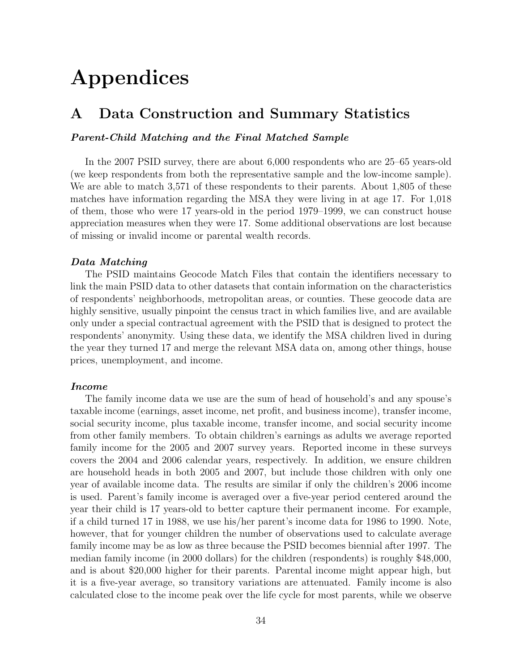# Appendices

## <span id="page-34-0"></span>A Data Construction and Summary Statistics

#### Parent-Child Matching and the Final Matched Sample

In the 2007 PSID survey, there are about 6,000 respondents who are 25–65 years-old (we keep respondents from both the representative sample and the low-income sample). We are able to match 3,571 of these respondents to their parents. About 1,805 of these matches have information regarding the MSA they were living in at age 17. For 1,018 of them, those who were 17 years-old in the period 1979–1999, we can construct house appreciation measures when they were 17. Some additional observations are lost because of missing or invalid income or parental wealth records.

#### Data Matching

The PSID maintains Geocode Match Files that contain the identifiers necessary to link the main PSID data to other datasets that contain information on the characteristics of respondents' neighborhoods, metropolitan areas, or counties. These geocode data are highly sensitive, usually pinpoint the census tract in which families live, and are available only under a special contractual agreement with the PSID that is designed to protect the respondents' anonymity. Using these data, we identify the MSA children lived in during the year they turned 17 and merge the relevant MSA data on, among other things, house prices, unemployment, and income.

#### Income

The family income data we use are the sum of head of household's and any spouse's taxable income (earnings, asset income, net profit, and business income), transfer income, social security income, plus taxable income, transfer income, and social security income from other family members. To obtain children's earnings as adults we average reported family income for the 2005 and 2007 survey years. Reported income in these surveys covers the 2004 and 2006 calendar years, respectively. In addition, we ensure children are household heads in both 2005 and 2007, but include those children with only one year of available income data. The results are similar if only the children's 2006 income is used. Parent's family income is averaged over a five-year period centered around the year their child is 17 years-old to better capture their permanent income. For example, if a child turned 17 in 1988, we use his/her parent's income data for 1986 to 1990. Note, however, that for younger children the number of observations used to calculate average family income may be as low as three because the PSID becomes biennial after 1997. The median family income (in 2000 dollars) for the children (respondents) is roughly \$48,000, and is about \$20,000 higher for their parents. Parental income might appear high, but it is a five-year average, so transitory variations are attenuated. Family income is also calculated close to the income peak over the life cycle for most parents, while we observe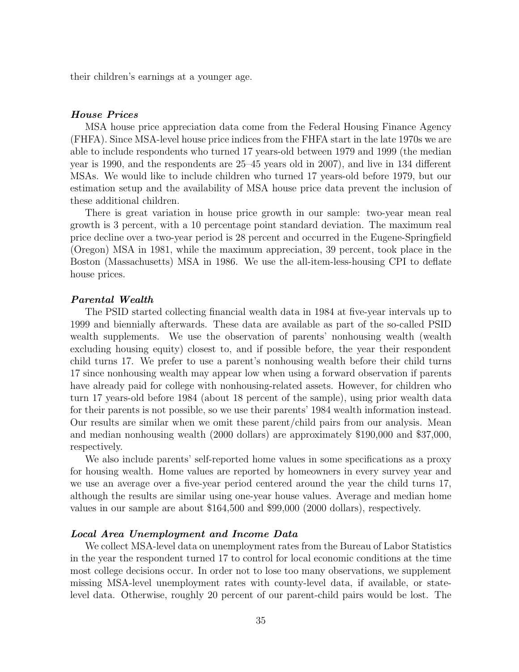their children's earnings at a younger age.

#### House Prices

MSA house price appreciation data come from the Federal Housing Finance Agency (FHFA). Since MSA-level house price indices from the FHFA start in the late 1970s we are able to include respondents who turned 17 years-old between 1979 and 1999 (the median year is 1990, and the respondents are 25–45 years old in 2007), and live in 134 different MSAs. We would like to include children who turned 17 years-old before 1979, but our estimation setup and the availability of MSA house price data prevent the inclusion of these additional children.

There is great variation in house price growth in our sample: two-year mean real growth is 3 percent, with a 10 percentage point standard deviation. The maximum real price decline over a two-year period is 28 percent and occurred in the Eugene-Springfield (Oregon) MSA in 1981, while the maximum appreciation, 39 percent, took place in the Boston (Massachusetts) MSA in 1986. We use the all-item-less-housing CPI to deflate house prices.

#### Parental Wealth

The PSID started collecting financial wealth data in 1984 at five-year intervals up to 1999 and biennially afterwards. These data are available as part of the so-called PSID wealth supplements. We use the observation of parents' nonhousing wealth (wealth excluding housing equity) closest to, and if possible before, the year their respondent child turns 17. We prefer to use a parent's nonhousing wealth before their child turns 17 since nonhousing wealth may appear low when using a forward observation if parents have already paid for college with nonhousing-related assets. However, for children who turn 17 years-old before 1984 (about 18 percent of the sample), using prior wealth data for their parents is not possible, so we use their parents' 1984 wealth information instead. Our results are similar when we omit these parent/child pairs from our analysis. Mean and median nonhousing wealth (2000 dollars) are approximately \$190,000 and \$37,000, respectively.

We also include parents' self-reported home values in some specifications as a proxy for housing wealth. Home values are reported by homeowners in every survey year and we use an average over a five-year period centered around the year the child turns 17, although the results are similar using one-year house values. Average and median home values in our sample are about \$164,500 and \$99,000 (2000 dollars), respectively.

#### Local Area Unemployment and Income Data

We collect MSA-level data on unemployment rates from the Bureau of Labor Statistics in the year the respondent turned 17 to control for local economic conditions at the time most college decisions occur. In order not to lose too many observations, we supplement missing MSA-level unemployment rates with county-level data, if available, or statelevel data. Otherwise, roughly 20 percent of our parent-child pairs would be lost. The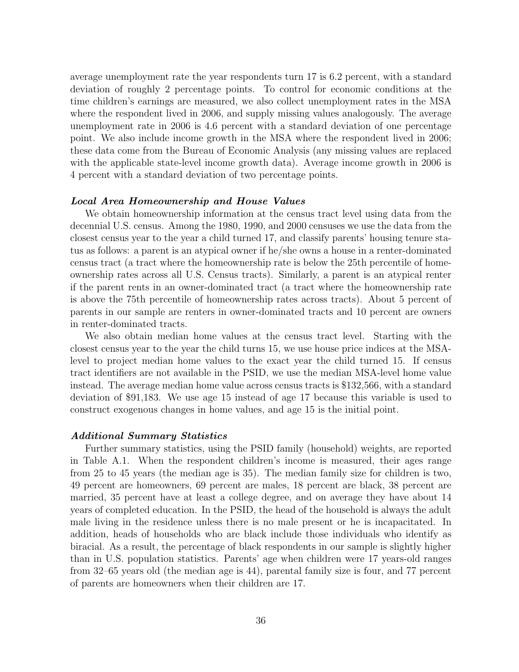average unemployment rate the year respondents turn 17 is 6.2 percent, with a standard deviation of roughly 2 percentage points. To control for economic conditions at the time children's earnings are measured, we also collect unemployment rates in the MSA where the respondent lived in 2006, and supply missing values analogously. The average unemployment rate in 2006 is 4.6 percent with a standard deviation of one percentage point. We also include income growth in the MSA where the respondent lived in 2006; these data come from the Bureau of Economic Analysis (any missing values are replaced with the applicable state-level income growth data). Average income growth in 2006 is 4 percent with a standard deviation of two percentage points.

#### Local Area Homeownership and House Values

We obtain homeownership information at the census tract level using data from the decennial U.S. census. Among the 1980, 1990, and 2000 censuses we use the data from the closest census year to the year a child turned 17, and classify parents' housing tenure status as follows: a parent is an atypical owner if he/she owns a house in a renter-dominated census tract (a tract where the homeownership rate is below the 25th percentile of homeownership rates across all U.S. Census tracts). Similarly, a parent is an atypical renter if the parent rents in an owner-dominated tract (a tract where the homeownership rate is above the 75th percentile of homeownership rates across tracts). About 5 percent of parents in our sample are renters in owner-dominated tracts and 10 percent are owners in renter-dominated tracts.

We also obtain median home values at the census tract level. Starting with the closest census year to the year the child turns 15, we use house price indices at the MSAlevel to project median home values to the exact year the child turned 15. If census tract identifiers are not available in the PSID, we use the median MSA-level home value instead. The average median home value across census tracts is \$132,566, with a standard deviation of \$91,183. We use age 15 instead of age 17 because this variable is used to construct exogenous changes in home values, and age 15 is the initial point.

#### Additional Summary Statistics

Further summary statistics, using the PSID family (household) weights, are reported in Table [A.1.](#page-38-0) When the respondent children's income is measured, their ages range from 25 to 45 years (the median age is 35). The median family size for children is two, 49 percent are homeowners, 69 percent are males, 18 percent are black, 38 percent are married, 35 percent have at least a college degree, and on average they have about 14 years of completed education. In the PSID, the head of the household is always the adult male living in the residence unless there is no male present or he is incapacitated. In addition, heads of households who are black include those individuals who identify as biracial. As a result, the percentage of black respondents in our sample is slightly higher than in U.S. population statistics. Parents' age when children were 17 years-old ranges from 32–65 years old (the median age is 44), parental family size is four, and 77 percent of parents are homeowners when their children are 17.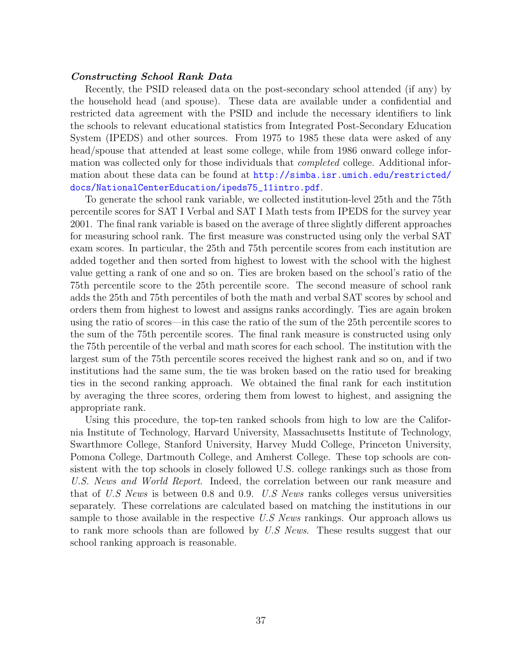#### Constructing School Rank Data

Recently, the PSID released data on the post-secondary school attended (if any) by the household head (and spouse). These data are available under a confidential and restricted data agreement with the PSID and include the necessary identifiers to link the schools to relevant educational statistics from Integrated Post-Secondary Education System (IPEDS) and other sources. From 1975 to 1985 these data were asked of any head/spouse that attended at least some college, while from 1986 onward college information was collected only for those individuals that completed college. Additional information about these data can be found at [http://simba.isr.umich.edu/restricted/](http://simba.isr.umich.edu/restricted/docs/NationalCenterEducation/ipeds75_11intro.pdf) [docs/NationalCenterEducation/ipeds75\\_11intro.pdf](http://simba.isr.umich.edu/restricted/docs/NationalCenterEducation/ipeds75_11intro.pdf).

To generate the school rank variable, we collected institution-level 25th and the 75th percentile scores for SAT I Verbal and SAT I Math tests from IPEDS for the survey year 2001. The final rank variable is based on the average of three slightly different approaches for measuring school rank. The first measure was constructed using only the verbal SAT exam scores. In particular, the 25th and 75th percentile scores from each institution are added together and then sorted from highest to lowest with the school with the highest value getting a rank of one and so on. Ties are broken based on the school's ratio of the 75th percentile score to the 25th percentile score. The second measure of school rank adds the 25th and 75th percentiles of both the math and verbal SAT scores by school and orders them from highest to lowest and assigns ranks accordingly. Ties are again broken using the ratio of scores—in this case the ratio of the sum of the 25th percentile scores to the sum of the 75th percentile scores. The final rank measure is constructed using only the 75th percentile of the verbal and math scores for each school. The institution with the largest sum of the 75th percentile scores received the highest rank and so on, and if two institutions had the same sum, the tie was broken based on the ratio used for breaking ties in the second ranking approach. We obtained the final rank for each institution by averaging the three scores, ordering them from lowest to highest, and assigning the appropriate rank.

Using this procedure, the top-ten ranked schools from high to low are the California Institute of Technology, Harvard University, Massachusetts Institute of Technology, Swarthmore College, Stanford University, Harvey Mudd College, Princeton University, Pomona College, Dartmouth College, and Amherst College. These top schools are consistent with the top schools in closely followed U.S. college rankings such as those from U.S. News and World Report. Indeed, the correlation between our rank measure and that of U.S News is between 0.8 and 0.9. U.S News ranks colleges versus universities separately. These correlations are calculated based on matching the institutions in our sample to those available in the respective U.S News rankings. Our approach allows us to rank more schools than are followed by U.S News. These results suggest that our school ranking approach is reasonable.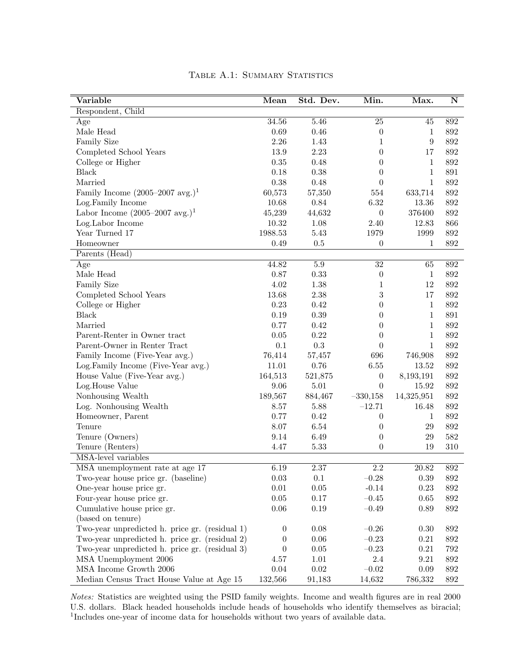<span id="page-38-0"></span>

| Respondent, Child<br>$\overline{25}$<br>34.56<br>5.46<br>45<br>$892\,$<br>Age<br>Male Head<br>0.69<br>0.46<br>$\boldsymbol{0}$<br>$\mathbf{1}$<br>$892\,$<br>2.26<br>Family Size<br>1.43<br>9<br>$892\,$<br>1<br>2.23<br>Completed School Years<br>13.9<br>17<br>$892\,$<br>$\overline{0}$<br>0.35<br>College or Higher<br>0.48<br>$\mathbf{1}$<br>$892\,$<br>$\overline{0}$<br>0.18<br>0.38<br>1<br>891<br><b>Black</b><br>$\overline{0}$<br>0.38<br>0.48<br>Married<br>$\mathbf{1}$<br>$892\,$<br>$\overline{0}$<br>Family Income $(2005-2007 \text{ avg.})^1$<br>60,573<br>$892\,$<br>57,350<br>633,714<br>554<br>Log.Family Income<br>10.68<br>0.84<br>6.32<br>$892\,$<br>13.36<br>Labor Income $(2005-2007 \text{ avg.})^1$<br>45,239<br>376400<br>$892\,$<br>44,632<br>$\boldsymbol{0}$<br>Log.Labor Income<br>10.32<br>2.40<br>12.83<br>866<br>1.08<br>Year Turned 17<br>1988.53<br>5.43<br>$892\,$<br>1979<br>1999<br>0.49<br>0.5<br>$892\,$<br>Homeowner<br>$\boldsymbol{0}$<br>1<br>Parents (Head)<br>$\overline{32}$<br>5.9<br>892<br>44.82<br>65<br>Age<br>Male Head<br>0.87<br>0.33<br>$\mathbf{1}$<br>$892\,$<br>$\boldsymbol{0}$<br>4.02<br>12<br>Family Size<br>1.38<br>$892\,$<br>1<br>3<br>Completed School Years<br>13.68<br>2.38<br>17<br>$892\,$<br>College or Higher<br>0.23<br>0.42<br>$\mathbf 1$<br>$892\,$<br>0<br>0.19<br>0.39<br><b>Black</b><br>$\mathbf{1}$<br>891<br>0<br>0.77<br>Married<br>0.42<br>$\mathbf 1$<br>$892\,$<br>$\overline{0}$<br>0.22<br>$\mathbf{1}$<br>Parent-Renter in Owner tract<br>0.05<br>$892\,$<br>0<br>0.1<br>$\rm 0.3$<br>892<br>$\mathbf{1}$<br>Parent-Owner in Renter Tract<br>$\theta$<br>76,414<br>$892\,$<br>Family Income (Five-Year avg.)<br>57,457<br>696<br>746,908<br>Log.Family Income (Five-Year avg.)<br>11.01<br>0.76<br>$892\,$<br>6.55<br>13.52<br>House Value (Five-Year avg.)<br>164,513<br>521,875<br>8,193,191<br>$892\,$<br>$\boldsymbol{0}$<br>Log.House Value<br>9.06<br>5.01<br>$892\,$<br>$\boldsymbol{0}$<br>15.92<br>Nonhousing Wealth<br>189,567<br>$-330,158$<br>$892\,$<br>884,467<br>14,325,951<br>Log. Nonhousing Wealth<br>$-12.71$<br>$892\,$<br>8.57<br>5.88<br>16.48<br>Homeowner, Parent<br>0.77<br>0.42<br>$892\,$<br>$\boldsymbol{0}$<br>1<br>8.07<br>6.54<br>29<br>$892\,$<br>Tenure<br>$\boldsymbol{0}$<br>Tenure (Owners)<br>9.14<br>6.49<br>582<br>$\overline{0}$<br>29<br>5.33<br>4.47<br>19<br>$310\,$<br>Tenure (Renters)<br>$\boldsymbol{0}$<br>MSA-level variables<br>6.19<br>2.37<br>$\overline{2.2}$<br>$\overline{20.82}$<br>892<br>MSA unemployment rate at age 17<br>0.1<br>0.03<br>$-0.28$<br>$0.39\,$<br>892<br>Two-year house price gr. (baseline)<br>One-year house price gr.<br>0.01<br>$0.05\,$<br>0.23<br>$892\,$<br>$-0.14$<br>Four-year house price gr.<br>$0.05\,$<br>0.17<br>$-0.45$<br>0.65<br>892<br>0.06<br>0.89<br>Cumulative house price gr.<br>0.19<br>$-0.49$<br>892<br>(based on tenure)<br>Two-year unpredicted h. price gr. (residual 1)<br>0.08<br>$-0.26$<br>0.30<br>892<br>$\theta$<br>Two-year unpredicted h. price gr. (residual 2)<br>0.06<br>$-0.23$<br>0.21<br>892<br>0<br>Two-year unpredicted h. price gr. (residual 3)<br>$\overline{0}$<br>$0.05\,$<br>$-0.23$<br>0.21<br>792<br>MSA Unemployment 2006<br>4.57<br>1.01<br>$2.4\,$<br>9.21<br>892<br>MSA Income Growth 2006<br>0.04<br>$0.02\,$<br>$-0.02\,$<br>$0.09\,$<br>892 | Variable                                  | Mean    | Std. Dev. | Min.   | Max.    | $\mathbf N$ |
|--------------------------------------------------------------------------------------------------------------------------------------------------------------------------------------------------------------------------------------------------------------------------------------------------------------------------------------------------------------------------------------------------------------------------------------------------------------------------------------------------------------------------------------------------------------------------------------------------------------------------------------------------------------------------------------------------------------------------------------------------------------------------------------------------------------------------------------------------------------------------------------------------------------------------------------------------------------------------------------------------------------------------------------------------------------------------------------------------------------------------------------------------------------------------------------------------------------------------------------------------------------------------------------------------------------------------------------------------------------------------------------------------------------------------------------------------------------------------------------------------------------------------------------------------------------------------------------------------------------------------------------------------------------------------------------------------------------------------------------------------------------------------------------------------------------------------------------------------------------------------------------------------------------------------------------------------------------------------------------------------------------------------------------------------------------------------------------------------------------------------------------------------------------------------------------------------------------------------------------------------------------------------------------------------------------------------------------------------------------------------------------------------------------------------------------------------------------------------------------------------------------------------------------------------------------------------------------------------------------------------------------------------------------------------------------------------------------------------------------------------------------------------------------------------------------------------------------------------------------------------------------------------------------------------------------------------------------------------------------------------------------------------------------------------------------------------------------------------------------------------------------------------------------------------------------------------------------------------------------------------------------------------------------------------------------------------------------------------------------------------------|-------------------------------------------|---------|-----------|--------|---------|-------------|
|                                                                                                                                                                                                                                                                                                                                                                                                                                                                                                                                                                                                                                                                                                                                                                                                                                                                                                                                                                                                                                                                                                                                                                                                                                                                                                                                                                                                                                                                                                                                                                                                                                                                                                                                                                                                                                                                                                                                                                                                                                                                                                                                                                                                                                                                                                                                                                                                                                                                                                                                                                                                                                                                                                                                                                                                                                                                                                                                                                                                                                                                                                                                                                                                                                                                                                                                                                                |                                           |         |           |        |         |             |
|                                                                                                                                                                                                                                                                                                                                                                                                                                                                                                                                                                                                                                                                                                                                                                                                                                                                                                                                                                                                                                                                                                                                                                                                                                                                                                                                                                                                                                                                                                                                                                                                                                                                                                                                                                                                                                                                                                                                                                                                                                                                                                                                                                                                                                                                                                                                                                                                                                                                                                                                                                                                                                                                                                                                                                                                                                                                                                                                                                                                                                                                                                                                                                                                                                                                                                                                                                                |                                           |         |           |        |         |             |
|                                                                                                                                                                                                                                                                                                                                                                                                                                                                                                                                                                                                                                                                                                                                                                                                                                                                                                                                                                                                                                                                                                                                                                                                                                                                                                                                                                                                                                                                                                                                                                                                                                                                                                                                                                                                                                                                                                                                                                                                                                                                                                                                                                                                                                                                                                                                                                                                                                                                                                                                                                                                                                                                                                                                                                                                                                                                                                                                                                                                                                                                                                                                                                                                                                                                                                                                                                                |                                           |         |           |        |         |             |
|                                                                                                                                                                                                                                                                                                                                                                                                                                                                                                                                                                                                                                                                                                                                                                                                                                                                                                                                                                                                                                                                                                                                                                                                                                                                                                                                                                                                                                                                                                                                                                                                                                                                                                                                                                                                                                                                                                                                                                                                                                                                                                                                                                                                                                                                                                                                                                                                                                                                                                                                                                                                                                                                                                                                                                                                                                                                                                                                                                                                                                                                                                                                                                                                                                                                                                                                                                                |                                           |         |           |        |         |             |
|                                                                                                                                                                                                                                                                                                                                                                                                                                                                                                                                                                                                                                                                                                                                                                                                                                                                                                                                                                                                                                                                                                                                                                                                                                                                                                                                                                                                                                                                                                                                                                                                                                                                                                                                                                                                                                                                                                                                                                                                                                                                                                                                                                                                                                                                                                                                                                                                                                                                                                                                                                                                                                                                                                                                                                                                                                                                                                                                                                                                                                                                                                                                                                                                                                                                                                                                                                                |                                           |         |           |        |         |             |
|                                                                                                                                                                                                                                                                                                                                                                                                                                                                                                                                                                                                                                                                                                                                                                                                                                                                                                                                                                                                                                                                                                                                                                                                                                                                                                                                                                                                                                                                                                                                                                                                                                                                                                                                                                                                                                                                                                                                                                                                                                                                                                                                                                                                                                                                                                                                                                                                                                                                                                                                                                                                                                                                                                                                                                                                                                                                                                                                                                                                                                                                                                                                                                                                                                                                                                                                                                                |                                           |         |           |        |         |             |
|                                                                                                                                                                                                                                                                                                                                                                                                                                                                                                                                                                                                                                                                                                                                                                                                                                                                                                                                                                                                                                                                                                                                                                                                                                                                                                                                                                                                                                                                                                                                                                                                                                                                                                                                                                                                                                                                                                                                                                                                                                                                                                                                                                                                                                                                                                                                                                                                                                                                                                                                                                                                                                                                                                                                                                                                                                                                                                                                                                                                                                                                                                                                                                                                                                                                                                                                                                                |                                           |         |           |        |         |             |
|                                                                                                                                                                                                                                                                                                                                                                                                                                                                                                                                                                                                                                                                                                                                                                                                                                                                                                                                                                                                                                                                                                                                                                                                                                                                                                                                                                                                                                                                                                                                                                                                                                                                                                                                                                                                                                                                                                                                                                                                                                                                                                                                                                                                                                                                                                                                                                                                                                                                                                                                                                                                                                                                                                                                                                                                                                                                                                                                                                                                                                                                                                                                                                                                                                                                                                                                                                                |                                           |         |           |        |         |             |
|                                                                                                                                                                                                                                                                                                                                                                                                                                                                                                                                                                                                                                                                                                                                                                                                                                                                                                                                                                                                                                                                                                                                                                                                                                                                                                                                                                                                                                                                                                                                                                                                                                                                                                                                                                                                                                                                                                                                                                                                                                                                                                                                                                                                                                                                                                                                                                                                                                                                                                                                                                                                                                                                                                                                                                                                                                                                                                                                                                                                                                                                                                                                                                                                                                                                                                                                                                                |                                           |         |           |        |         |             |
|                                                                                                                                                                                                                                                                                                                                                                                                                                                                                                                                                                                                                                                                                                                                                                                                                                                                                                                                                                                                                                                                                                                                                                                                                                                                                                                                                                                                                                                                                                                                                                                                                                                                                                                                                                                                                                                                                                                                                                                                                                                                                                                                                                                                                                                                                                                                                                                                                                                                                                                                                                                                                                                                                                                                                                                                                                                                                                                                                                                                                                                                                                                                                                                                                                                                                                                                                                                |                                           |         |           |        |         |             |
|                                                                                                                                                                                                                                                                                                                                                                                                                                                                                                                                                                                                                                                                                                                                                                                                                                                                                                                                                                                                                                                                                                                                                                                                                                                                                                                                                                                                                                                                                                                                                                                                                                                                                                                                                                                                                                                                                                                                                                                                                                                                                                                                                                                                                                                                                                                                                                                                                                                                                                                                                                                                                                                                                                                                                                                                                                                                                                                                                                                                                                                                                                                                                                                                                                                                                                                                                                                |                                           |         |           |        |         |             |
|                                                                                                                                                                                                                                                                                                                                                                                                                                                                                                                                                                                                                                                                                                                                                                                                                                                                                                                                                                                                                                                                                                                                                                                                                                                                                                                                                                                                                                                                                                                                                                                                                                                                                                                                                                                                                                                                                                                                                                                                                                                                                                                                                                                                                                                                                                                                                                                                                                                                                                                                                                                                                                                                                                                                                                                                                                                                                                                                                                                                                                                                                                                                                                                                                                                                                                                                                                                |                                           |         |           |        |         |             |
|                                                                                                                                                                                                                                                                                                                                                                                                                                                                                                                                                                                                                                                                                                                                                                                                                                                                                                                                                                                                                                                                                                                                                                                                                                                                                                                                                                                                                                                                                                                                                                                                                                                                                                                                                                                                                                                                                                                                                                                                                                                                                                                                                                                                                                                                                                                                                                                                                                                                                                                                                                                                                                                                                                                                                                                                                                                                                                                                                                                                                                                                                                                                                                                                                                                                                                                                                                                |                                           |         |           |        |         |             |
|                                                                                                                                                                                                                                                                                                                                                                                                                                                                                                                                                                                                                                                                                                                                                                                                                                                                                                                                                                                                                                                                                                                                                                                                                                                                                                                                                                                                                                                                                                                                                                                                                                                                                                                                                                                                                                                                                                                                                                                                                                                                                                                                                                                                                                                                                                                                                                                                                                                                                                                                                                                                                                                                                                                                                                                                                                                                                                                                                                                                                                                                                                                                                                                                                                                                                                                                                                                |                                           |         |           |        |         |             |
|                                                                                                                                                                                                                                                                                                                                                                                                                                                                                                                                                                                                                                                                                                                                                                                                                                                                                                                                                                                                                                                                                                                                                                                                                                                                                                                                                                                                                                                                                                                                                                                                                                                                                                                                                                                                                                                                                                                                                                                                                                                                                                                                                                                                                                                                                                                                                                                                                                                                                                                                                                                                                                                                                                                                                                                                                                                                                                                                                                                                                                                                                                                                                                                                                                                                                                                                                                                |                                           |         |           |        |         |             |
|                                                                                                                                                                                                                                                                                                                                                                                                                                                                                                                                                                                                                                                                                                                                                                                                                                                                                                                                                                                                                                                                                                                                                                                                                                                                                                                                                                                                                                                                                                                                                                                                                                                                                                                                                                                                                                                                                                                                                                                                                                                                                                                                                                                                                                                                                                                                                                                                                                                                                                                                                                                                                                                                                                                                                                                                                                                                                                                                                                                                                                                                                                                                                                                                                                                                                                                                                                                |                                           |         |           |        |         |             |
|                                                                                                                                                                                                                                                                                                                                                                                                                                                                                                                                                                                                                                                                                                                                                                                                                                                                                                                                                                                                                                                                                                                                                                                                                                                                                                                                                                                                                                                                                                                                                                                                                                                                                                                                                                                                                                                                                                                                                                                                                                                                                                                                                                                                                                                                                                                                                                                                                                                                                                                                                                                                                                                                                                                                                                                                                                                                                                                                                                                                                                                                                                                                                                                                                                                                                                                                                                                |                                           |         |           |        |         |             |
|                                                                                                                                                                                                                                                                                                                                                                                                                                                                                                                                                                                                                                                                                                                                                                                                                                                                                                                                                                                                                                                                                                                                                                                                                                                                                                                                                                                                                                                                                                                                                                                                                                                                                                                                                                                                                                                                                                                                                                                                                                                                                                                                                                                                                                                                                                                                                                                                                                                                                                                                                                                                                                                                                                                                                                                                                                                                                                                                                                                                                                                                                                                                                                                                                                                                                                                                                                                |                                           |         |           |        |         |             |
|                                                                                                                                                                                                                                                                                                                                                                                                                                                                                                                                                                                                                                                                                                                                                                                                                                                                                                                                                                                                                                                                                                                                                                                                                                                                                                                                                                                                                                                                                                                                                                                                                                                                                                                                                                                                                                                                                                                                                                                                                                                                                                                                                                                                                                                                                                                                                                                                                                                                                                                                                                                                                                                                                                                                                                                                                                                                                                                                                                                                                                                                                                                                                                                                                                                                                                                                                                                |                                           |         |           |        |         |             |
|                                                                                                                                                                                                                                                                                                                                                                                                                                                                                                                                                                                                                                                                                                                                                                                                                                                                                                                                                                                                                                                                                                                                                                                                                                                                                                                                                                                                                                                                                                                                                                                                                                                                                                                                                                                                                                                                                                                                                                                                                                                                                                                                                                                                                                                                                                                                                                                                                                                                                                                                                                                                                                                                                                                                                                                                                                                                                                                                                                                                                                                                                                                                                                                                                                                                                                                                                                                |                                           |         |           |        |         |             |
|                                                                                                                                                                                                                                                                                                                                                                                                                                                                                                                                                                                                                                                                                                                                                                                                                                                                                                                                                                                                                                                                                                                                                                                                                                                                                                                                                                                                                                                                                                                                                                                                                                                                                                                                                                                                                                                                                                                                                                                                                                                                                                                                                                                                                                                                                                                                                                                                                                                                                                                                                                                                                                                                                                                                                                                                                                                                                                                                                                                                                                                                                                                                                                                                                                                                                                                                                                                |                                           |         |           |        |         |             |
|                                                                                                                                                                                                                                                                                                                                                                                                                                                                                                                                                                                                                                                                                                                                                                                                                                                                                                                                                                                                                                                                                                                                                                                                                                                                                                                                                                                                                                                                                                                                                                                                                                                                                                                                                                                                                                                                                                                                                                                                                                                                                                                                                                                                                                                                                                                                                                                                                                                                                                                                                                                                                                                                                                                                                                                                                                                                                                                                                                                                                                                                                                                                                                                                                                                                                                                                                                                |                                           |         |           |        |         |             |
|                                                                                                                                                                                                                                                                                                                                                                                                                                                                                                                                                                                                                                                                                                                                                                                                                                                                                                                                                                                                                                                                                                                                                                                                                                                                                                                                                                                                                                                                                                                                                                                                                                                                                                                                                                                                                                                                                                                                                                                                                                                                                                                                                                                                                                                                                                                                                                                                                                                                                                                                                                                                                                                                                                                                                                                                                                                                                                                                                                                                                                                                                                                                                                                                                                                                                                                                                                                |                                           |         |           |        |         |             |
|                                                                                                                                                                                                                                                                                                                                                                                                                                                                                                                                                                                                                                                                                                                                                                                                                                                                                                                                                                                                                                                                                                                                                                                                                                                                                                                                                                                                                                                                                                                                                                                                                                                                                                                                                                                                                                                                                                                                                                                                                                                                                                                                                                                                                                                                                                                                                                                                                                                                                                                                                                                                                                                                                                                                                                                                                                                                                                                                                                                                                                                                                                                                                                                                                                                                                                                                                                                |                                           |         |           |        |         |             |
|                                                                                                                                                                                                                                                                                                                                                                                                                                                                                                                                                                                                                                                                                                                                                                                                                                                                                                                                                                                                                                                                                                                                                                                                                                                                                                                                                                                                                                                                                                                                                                                                                                                                                                                                                                                                                                                                                                                                                                                                                                                                                                                                                                                                                                                                                                                                                                                                                                                                                                                                                                                                                                                                                                                                                                                                                                                                                                                                                                                                                                                                                                                                                                                                                                                                                                                                                                                |                                           |         |           |        |         |             |
|                                                                                                                                                                                                                                                                                                                                                                                                                                                                                                                                                                                                                                                                                                                                                                                                                                                                                                                                                                                                                                                                                                                                                                                                                                                                                                                                                                                                                                                                                                                                                                                                                                                                                                                                                                                                                                                                                                                                                                                                                                                                                                                                                                                                                                                                                                                                                                                                                                                                                                                                                                                                                                                                                                                                                                                                                                                                                                                                                                                                                                                                                                                                                                                                                                                                                                                                                                                |                                           |         |           |        |         |             |
|                                                                                                                                                                                                                                                                                                                                                                                                                                                                                                                                                                                                                                                                                                                                                                                                                                                                                                                                                                                                                                                                                                                                                                                                                                                                                                                                                                                                                                                                                                                                                                                                                                                                                                                                                                                                                                                                                                                                                                                                                                                                                                                                                                                                                                                                                                                                                                                                                                                                                                                                                                                                                                                                                                                                                                                                                                                                                                                                                                                                                                                                                                                                                                                                                                                                                                                                                                                |                                           |         |           |        |         |             |
|                                                                                                                                                                                                                                                                                                                                                                                                                                                                                                                                                                                                                                                                                                                                                                                                                                                                                                                                                                                                                                                                                                                                                                                                                                                                                                                                                                                                                                                                                                                                                                                                                                                                                                                                                                                                                                                                                                                                                                                                                                                                                                                                                                                                                                                                                                                                                                                                                                                                                                                                                                                                                                                                                                                                                                                                                                                                                                                                                                                                                                                                                                                                                                                                                                                                                                                                                                                |                                           |         |           |        |         |             |
|                                                                                                                                                                                                                                                                                                                                                                                                                                                                                                                                                                                                                                                                                                                                                                                                                                                                                                                                                                                                                                                                                                                                                                                                                                                                                                                                                                                                                                                                                                                                                                                                                                                                                                                                                                                                                                                                                                                                                                                                                                                                                                                                                                                                                                                                                                                                                                                                                                                                                                                                                                                                                                                                                                                                                                                                                                                                                                                                                                                                                                                                                                                                                                                                                                                                                                                                                                                |                                           |         |           |        |         |             |
|                                                                                                                                                                                                                                                                                                                                                                                                                                                                                                                                                                                                                                                                                                                                                                                                                                                                                                                                                                                                                                                                                                                                                                                                                                                                                                                                                                                                                                                                                                                                                                                                                                                                                                                                                                                                                                                                                                                                                                                                                                                                                                                                                                                                                                                                                                                                                                                                                                                                                                                                                                                                                                                                                                                                                                                                                                                                                                                                                                                                                                                                                                                                                                                                                                                                                                                                                                                |                                           |         |           |        |         |             |
|                                                                                                                                                                                                                                                                                                                                                                                                                                                                                                                                                                                                                                                                                                                                                                                                                                                                                                                                                                                                                                                                                                                                                                                                                                                                                                                                                                                                                                                                                                                                                                                                                                                                                                                                                                                                                                                                                                                                                                                                                                                                                                                                                                                                                                                                                                                                                                                                                                                                                                                                                                                                                                                                                                                                                                                                                                                                                                                                                                                                                                                                                                                                                                                                                                                                                                                                                                                |                                           |         |           |        |         |             |
|                                                                                                                                                                                                                                                                                                                                                                                                                                                                                                                                                                                                                                                                                                                                                                                                                                                                                                                                                                                                                                                                                                                                                                                                                                                                                                                                                                                                                                                                                                                                                                                                                                                                                                                                                                                                                                                                                                                                                                                                                                                                                                                                                                                                                                                                                                                                                                                                                                                                                                                                                                                                                                                                                                                                                                                                                                                                                                                                                                                                                                                                                                                                                                                                                                                                                                                                                                                |                                           |         |           |        |         |             |
|                                                                                                                                                                                                                                                                                                                                                                                                                                                                                                                                                                                                                                                                                                                                                                                                                                                                                                                                                                                                                                                                                                                                                                                                                                                                                                                                                                                                                                                                                                                                                                                                                                                                                                                                                                                                                                                                                                                                                                                                                                                                                                                                                                                                                                                                                                                                                                                                                                                                                                                                                                                                                                                                                                                                                                                                                                                                                                                                                                                                                                                                                                                                                                                                                                                                                                                                                                                |                                           |         |           |        |         |             |
|                                                                                                                                                                                                                                                                                                                                                                                                                                                                                                                                                                                                                                                                                                                                                                                                                                                                                                                                                                                                                                                                                                                                                                                                                                                                                                                                                                                                                                                                                                                                                                                                                                                                                                                                                                                                                                                                                                                                                                                                                                                                                                                                                                                                                                                                                                                                                                                                                                                                                                                                                                                                                                                                                                                                                                                                                                                                                                                                                                                                                                                                                                                                                                                                                                                                                                                                                                                |                                           |         |           |        |         |             |
|                                                                                                                                                                                                                                                                                                                                                                                                                                                                                                                                                                                                                                                                                                                                                                                                                                                                                                                                                                                                                                                                                                                                                                                                                                                                                                                                                                                                                                                                                                                                                                                                                                                                                                                                                                                                                                                                                                                                                                                                                                                                                                                                                                                                                                                                                                                                                                                                                                                                                                                                                                                                                                                                                                                                                                                                                                                                                                                                                                                                                                                                                                                                                                                                                                                                                                                                                                                |                                           |         |           |        |         |             |
|                                                                                                                                                                                                                                                                                                                                                                                                                                                                                                                                                                                                                                                                                                                                                                                                                                                                                                                                                                                                                                                                                                                                                                                                                                                                                                                                                                                                                                                                                                                                                                                                                                                                                                                                                                                                                                                                                                                                                                                                                                                                                                                                                                                                                                                                                                                                                                                                                                                                                                                                                                                                                                                                                                                                                                                                                                                                                                                                                                                                                                                                                                                                                                                                                                                                                                                                                                                |                                           |         |           |        |         |             |
|                                                                                                                                                                                                                                                                                                                                                                                                                                                                                                                                                                                                                                                                                                                                                                                                                                                                                                                                                                                                                                                                                                                                                                                                                                                                                                                                                                                                                                                                                                                                                                                                                                                                                                                                                                                                                                                                                                                                                                                                                                                                                                                                                                                                                                                                                                                                                                                                                                                                                                                                                                                                                                                                                                                                                                                                                                                                                                                                                                                                                                                                                                                                                                                                                                                                                                                                                                                |                                           |         |           |        |         |             |
|                                                                                                                                                                                                                                                                                                                                                                                                                                                                                                                                                                                                                                                                                                                                                                                                                                                                                                                                                                                                                                                                                                                                                                                                                                                                                                                                                                                                                                                                                                                                                                                                                                                                                                                                                                                                                                                                                                                                                                                                                                                                                                                                                                                                                                                                                                                                                                                                                                                                                                                                                                                                                                                                                                                                                                                                                                                                                                                                                                                                                                                                                                                                                                                                                                                                                                                                                                                |                                           |         |           |        |         |             |
|                                                                                                                                                                                                                                                                                                                                                                                                                                                                                                                                                                                                                                                                                                                                                                                                                                                                                                                                                                                                                                                                                                                                                                                                                                                                                                                                                                                                                                                                                                                                                                                                                                                                                                                                                                                                                                                                                                                                                                                                                                                                                                                                                                                                                                                                                                                                                                                                                                                                                                                                                                                                                                                                                                                                                                                                                                                                                                                                                                                                                                                                                                                                                                                                                                                                                                                                                                                |                                           |         |           |        |         |             |
|                                                                                                                                                                                                                                                                                                                                                                                                                                                                                                                                                                                                                                                                                                                                                                                                                                                                                                                                                                                                                                                                                                                                                                                                                                                                                                                                                                                                                                                                                                                                                                                                                                                                                                                                                                                                                                                                                                                                                                                                                                                                                                                                                                                                                                                                                                                                                                                                                                                                                                                                                                                                                                                                                                                                                                                                                                                                                                                                                                                                                                                                                                                                                                                                                                                                                                                                                                                |                                           |         |           |        |         |             |
|                                                                                                                                                                                                                                                                                                                                                                                                                                                                                                                                                                                                                                                                                                                                                                                                                                                                                                                                                                                                                                                                                                                                                                                                                                                                                                                                                                                                                                                                                                                                                                                                                                                                                                                                                                                                                                                                                                                                                                                                                                                                                                                                                                                                                                                                                                                                                                                                                                                                                                                                                                                                                                                                                                                                                                                                                                                                                                                                                                                                                                                                                                                                                                                                                                                                                                                                                                                |                                           |         |           |        |         |             |
|                                                                                                                                                                                                                                                                                                                                                                                                                                                                                                                                                                                                                                                                                                                                                                                                                                                                                                                                                                                                                                                                                                                                                                                                                                                                                                                                                                                                                                                                                                                                                                                                                                                                                                                                                                                                                                                                                                                                                                                                                                                                                                                                                                                                                                                                                                                                                                                                                                                                                                                                                                                                                                                                                                                                                                                                                                                                                                                                                                                                                                                                                                                                                                                                                                                                                                                                                                                |                                           |         |           |        |         |             |
|                                                                                                                                                                                                                                                                                                                                                                                                                                                                                                                                                                                                                                                                                                                                                                                                                                                                                                                                                                                                                                                                                                                                                                                                                                                                                                                                                                                                                                                                                                                                                                                                                                                                                                                                                                                                                                                                                                                                                                                                                                                                                                                                                                                                                                                                                                                                                                                                                                                                                                                                                                                                                                                                                                                                                                                                                                                                                                                                                                                                                                                                                                                                                                                                                                                                                                                                                                                |                                           |         |           |        |         |             |
|                                                                                                                                                                                                                                                                                                                                                                                                                                                                                                                                                                                                                                                                                                                                                                                                                                                                                                                                                                                                                                                                                                                                                                                                                                                                                                                                                                                                                                                                                                                                                                                                                                                                                                                                                                                                                                                                                                                                                                                                                                                                                                                                                                                                                                                                                                                                                                                                                                                                                                                                                                                                                                                                                                                                                                                                                                                                                                                                                                                                                                                                                                                                                                                                                                                                                                                                                                                |                                           |         |           |        |         |             |
|                                                                                                                                                                                                                                                                                                                                                                                                                                                                                                                                                                                                                                                                                                                                                                                                                                                                                                                                                                                                                                                                                                                                                                                                                                                                                                                                                                                                                                                                                                                                                                                                                                                                                                                                                                                                                                                                                                                                                                                                                                                                                                                                                                                                                                                                                                                                                                                                                                                                                                                                                                                                                                                                                                                                                                                                                                                                                                                                                                                                                                                                                                                                                                                                                                                                                                                                                                                |                                           |         |           |        |         |             |
|                                                                                                                                                                                                                                                                                                                                                                                                                                                                                                                                                                                                                                                                                                                                                                                                                                                                                                                                                                                                                                                                                                                                                                                                                                                                                                                                                                                                                                                                                                                                                                                                                                                                                                                                                                                                                                                                                                                                                                                                                                                                                                                                                                                                                                                                                                                                                                                                                                                                                                                                                                                                                                                                                                                                                                                                                                                                                                                                                                                                                                                                                                                                                                                                                                                                                                                                                                                |                                           |         |           |        |         |             |
|                                                                                                                                                                                                                                                                                                                                                                                                                                                                                                                                                                                                                                                                                                                                                                                                                                                                                                                                                                                                                                                                                                                                                                                                                                                                                                                                                                                                                                                                                                                                                                                                                                                                                                                                                                                                                                                                                                                                                                                                                                                                                                                                                                                                                                                                                                                                                                                                                                                                                                                                                                                                                                                                                                                                                                                                                                                                                                                                                                                                                                                                                                                                                                                                                                                                                                                                                                                | Median Census Tract House Value at Age 15 | 132,566 | 91,183    | 14,632 | 786,332 | 892         |

### TABLE A.1: SUMMARY STATISTICS

Notes: Statistics are weighted using the PSID family weights. Income and wealth figures are in real 2000 U.S. dollars. Black headed households include heads of households who identify themselves as biracial; <sup>1</sup>Includes one-year of income data for households without two years of available data.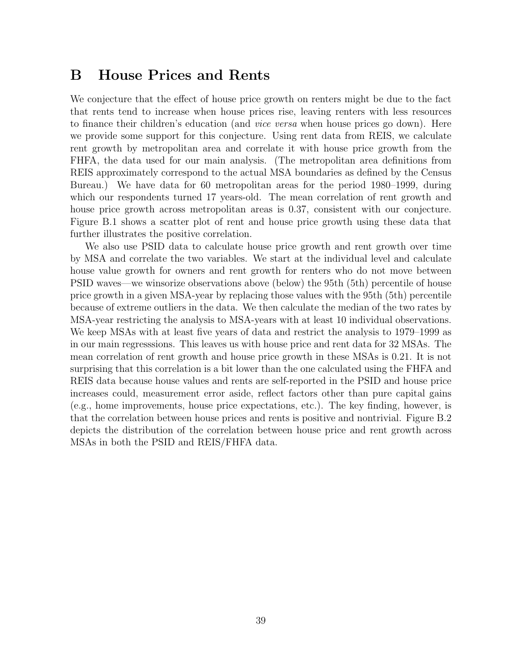## <span id="page-39-0"></span>B House Prices and Rents

We conjecture that the effect of house price growth on renters might be due to the fact that rents tend to increase when house prices rise, leaving renters with less resources to finance their children's education (and *vice versa* when house prices go down). Here we provide some support for this conjecture. Using rent data from REIS, we calculate rent growth by metropolitan area and correlate it with house price growth from the FHFA, the data used for our main analysis. (The metropolitan area definitions from REIS approximately correspond to the actual MSA boundaries as defined by the Census Bureau.) We have data for 60 metropolitan areas for the period 1980–1999, during which our respondents turned 17 years-old. The mean correlation of rent growth and house price growth across metropolitan areas is 0.37, consistent with our conjecture. Figure [B.1](#page-40-0) shows a scatter plot of rent and house price growth using these data that further illustrates the positive correlation.

We also use PSID data to calculate house price growth and rent growth over time by MSA and correlate the two variables. We start at the individual level and calculate house value growth for owners and rent growth for renters who do not move between PSID waves—we winsorize observations above (below) the 95th (5th) percentile of house price growth in a given MSA-year by replacing those values with the 95th (5th) percentile because of extreme outliers in the data. We then calculate the median of the two rates by MSA-year restricting the analysis to MSA-years with at least 10 individual observations. We keep MSAs with at least five years of data and restrict the analysis to 1979–1999 as in our main regresssions. This leaves us with house price and rent data for 32 MSAs. The mean correlation of rent growth and house price growth in these MSAs is 0.21. It is not surprising that this correlation is a bit lower than the one calculated using the FHFA and REIS data because house values and rents are self-reported in the PSID and house price increases could, measurement error aside, reflect factors other than pure capital gains (e.g., home improvements, house price expectations, etc.). The key finding, however, is that the correlation between house prices and rents is positive and nontrivial. Figure [B.2](#page-40-1) depicts the distribution of the correlation between house price and rent growth across MSAs in both the PSID and REIS/FHFA data.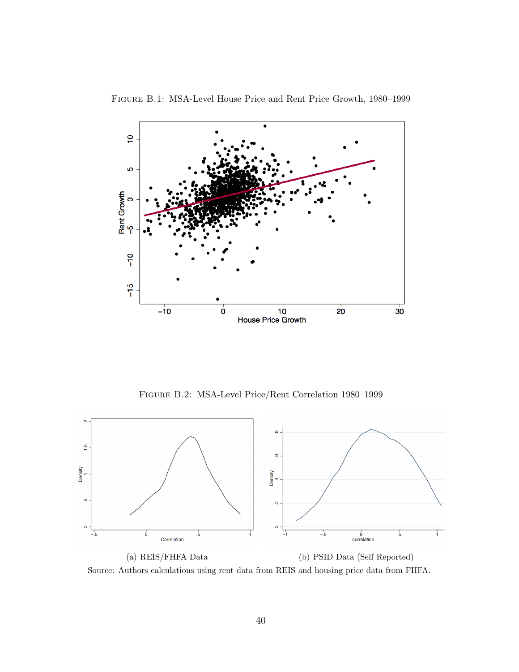<span id="page-40-0"></span>

Figure B.1: MSA-Level House Price and Rent Price Growth, 1980–1999

Figure B.2: MSA-Level Price/Rent Correlation 1980–1999



<span id="page-40-1"></span>Source: Authors calculations using rent data from REIS and housing price data from FHFA.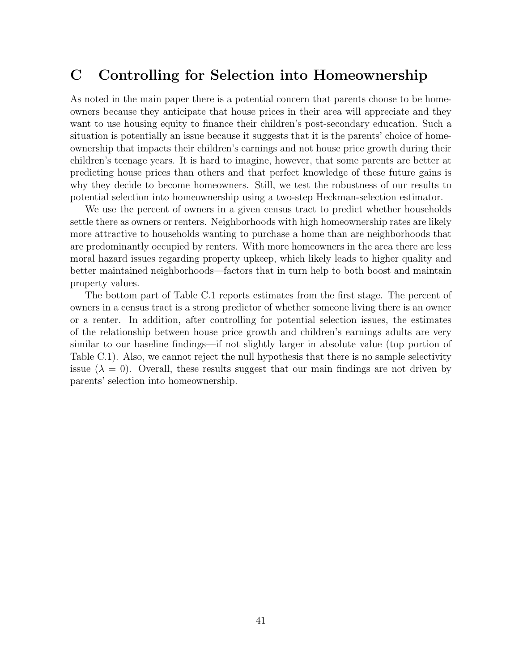# <span id="page-41-0"></span>C Controlling for Selection into Homeownership

As noted in the main paper there is a potential concern that parents choose to be homeowners because they anticipate that house prices in their area will appreciate and they want to use housing equity to finance their children's post-secondary education. Such a situation is potentially an issue because it suggests that it is the parents' choice of homeownership that impacts their children's earnings and not house price growth during their children's teenage years. It is hard to imagine, however, that some parents are better at predicting house prices than others and that perfect knowledge of these future gains is why they decide to become homeowners. Still, we test the robustness of our results to potential selection into homeownership using a two-step Heckman-selection estimator.

We use the percent of owners in a given census tract to predict whether households settle there as owners or renters. Neighborhoods with high homeownership rates are likely more attractive to households wanting to purchase a home than are neighborhoods that are predominantly occupied by renters. With more homeowners in the area there are less moral hazard issues regarding property upkeep, which likely leads to higher quality and better maintained neighborhoods—factors that in turn help to both boost and maintain property values.

The bottom part of Table [C.1](#page-42-0) reports estimates from the first stage. The percent of owners in a census tract is a strong predictor of whether someone living there is an owner or a renter. In addition, after controlling for potential selection issues, the estimates of the relationship between house price growth and children's earnings adults are very similar to our baseline findings—if not slightly larger in absolute value (top portion of Table [C.1\)](#page-42-0). Also, we cannot reject the null hypothesis that there is no sample selectivity issue  $(\lambda = 0)$ . Overall, these results suggest that our main findings are not driven by parents' selection into homeownership.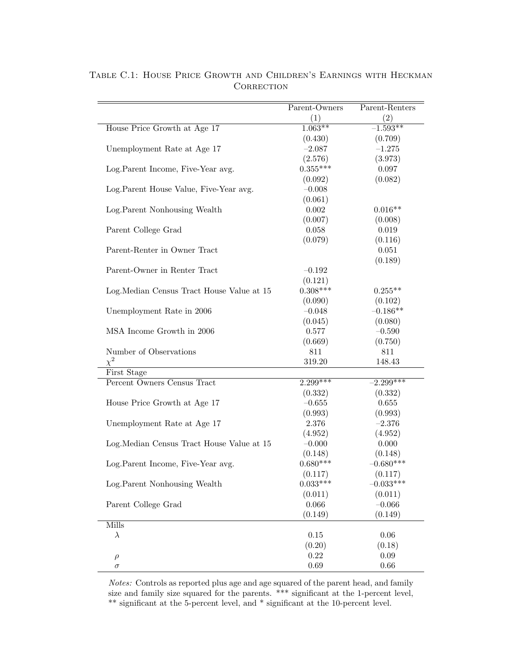|                                            | Parent-Owners<br>(1) | Parent-Renters<br>(2) |
|--------------------------------------------|----------------------|-----------------------|
| House Price Growth at Age 17               | $1.063**$            | $-1.593**$            |
|                                            | (0.430)              | (0.709)               |
| Unemployment Rate at Age 17                | $-2.087$             | $-1.275$              |
|                                            | (2.576)              | (3.973)               |
| Log. Parent Income, Five-Year avg.         | $0.355***$           | 0.097                 |
|                                            | (0.092)              | (0.082)               |
| Log. Parent House Value, Five-Year avg.    | $-0.008$             |                       |
|                                            |                      |                       |
|                                            | (0.061)              | $0.016**$             |
| Log. Parent Nonhousing Wealth              | 0.002                |                       |
|                                            | (0.007)              | (0.008)               |
| Parent College Grad                        | 0.058                | 0.019                 |
|                                            | (0.079)              | (0.116)               |
| Parent-Renter in Owner Tract               |                      | 0.051                 |
|                                            |                      | (0.189)               |
| Parent-Owner in Renter Tract               | $-0.192$             |                       |
|                                            | (0.121)              |                       |
| Log. Median Census Tract House Value at 15 | $0.308***$           | $0.255**$             |
|                                            | (0.090)              | (0.102)               |
| Unemployment Rate in 2006                  | $-0.048$             | $-0.186**$            |
|                                            | (0.045)              | (0.080)               |
| MSA Income Growth in 2006                  | 0.577                | $-0.590$              |
|                                            | (0.669)              | (0.750)               |
| Number of Observations                     | 811                  | 811                   |
| $\chi^2$                                   | 319.20               | 148.43                |
| First Stage                                |                      |                       |
| Percent Owners Census Tract                | $2.299***$           | $-2.299***$           |
|                                            | (0.332)              | (0.332)               |
| House Price Growth at Age 17               | $-0.655$             | 0.655                 |
|                                            | (0.993)              | (0.993)               |
| Unemployment Rate at Age 17                | 2.376                | $-2.376$              |
|                                            | (4.952)              | (4.952)               |
| Log. Median Census Tract House Value at 15 | $-0.000$             | 0.000                 |
|                                            | (0.148)              | (0.148)               |
| Log. Parent Income, Five-Year avg.         | $0.680***$           | $-0.680***$           |
|                                            | (0.117)              | (0.117)               |
| Log. Parent Nonhousing Wealth              | $0.033***$           | $-0.033***$           |
|                                            | (0.011)              | (0.011)               |
|                                            | 0.066                | $-0.066$              |
| Parent College Grad                        |                      |                       |
|                                            | (0.149)              | (0.149)               |
| $\overline{\text{Mills}}$                  |                      |                       |
| $\lambda$                                  | $0.15\,$             | 0.06                  |
|                                            | (0.20)               | (0.18)                |
| $\rho$                                     | 0.22                 | $0.09\,$              |
| $\sigma$                                   | 0.69                 | $0.66\,$              |

<span id="page-42-0"></span>Table C.1: House Price Growth and Children's Earnings with Heckman **CORRECTION** 

Notes: Controls as reported plus age and age squared of the parent head, and family size and family size squared for the parents. \*\*\* significant at the 1-percent level, \*\* significant at the 5-percent level, and \* significant at the 10-percent level.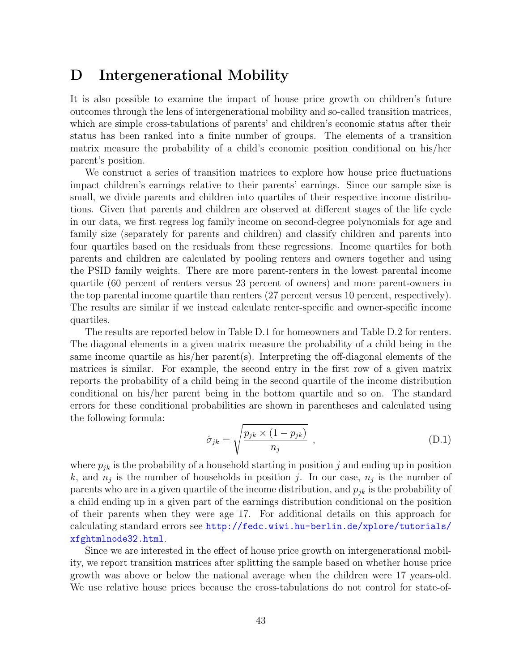## D Intergenerational Mobility

It is also possible to examine the impact of house price growth on children's future outcomes through the lens of intergenerational mobility and so-called transition matrices, which are simple cross-tabulations of parents' and children's economic status after their status has been ranked into a finite number of groups. The elements of a transition matrix measure the probability of a child's economic position conditional on his/her parent's position.

We construct a series of transition matrices to explore how house price fluctuations impact children's earnings relative to their parents' earnings. Since our sample size is small, we divide parents and children into quartiles of their respective income distributions. Given that parents and children are observed at different stages of the life cycle in our data, we first regress log family income on second-degree polynomials for age and family size (separately for parents and children) and classify children and parents into four quartiles based on the residuals from these regressions. Income quartiles for both parents and children are calculated by pooling renters and owners together and using the PSID family weights. There are more parent-renters in the lowest parental income quartile (60 percent of renters versus 23 percent of owners) and more parent-owners in the top parental income quartile than renters (27 percent versus 10 percent, respectively). The results are similar if we instead calculate renter-specific and owner-specific income quartiles.

The results are reported below in Table [D.1](#page-46-0) for homeowners and Table [D.2](#page-47-0) for renters. The diagonal elements in a given matrix measure the probability of a child being in the same income quartile as his/her parent(s). Interpreting the off-diagonal elements of the matrices is similar. For example, the second entry in the first row of a given matrix reports the probability of a child being in the second quartile of the income distribution conditional on his/her parent being in the bottom quartile and so on. The standard errors for these conditional probabilities are shown in parentheses and calculated using the following formula:

$$
\hat{\sigma}_{jk} = \sqrt{\frac{p_{jk} \times (1 - p_{jk})}{n_j}} \tag{D.1}
$$

where  $p_{jk}$  is the probability of a household starting in position j and ending up in position k, and  $n_j$  is the number of households in position j. In our case,  $n_j$  is the number of parents who are in a given quartile of the income distribution, and  $p_{ik}$  is the probability of a child ending up in a given part of the earnings distribution conditional on the position of their parents when they were age 17. For additional details on this approach for calculating standard errors see [http://fedc.wiwi.hu-berlin.de/xplore/tutorials/](http://fedc.wiwi.hu-berlin.de/xplore/tutorials/xfghtmlnode32.html) [xfghtmlnode32.html](http://fedc.wiwi.hu-berlin.de/xplore/tutorials/xfghtmlnode32.html).

Since we are interested in the effect of house price growth on intergenerational mobility, we report transition matrices after splitting the sample based on whether house price growth was above or below the national average when the children were 17 years-old. We use relative house prices because the cross-tabulations do not control for state-of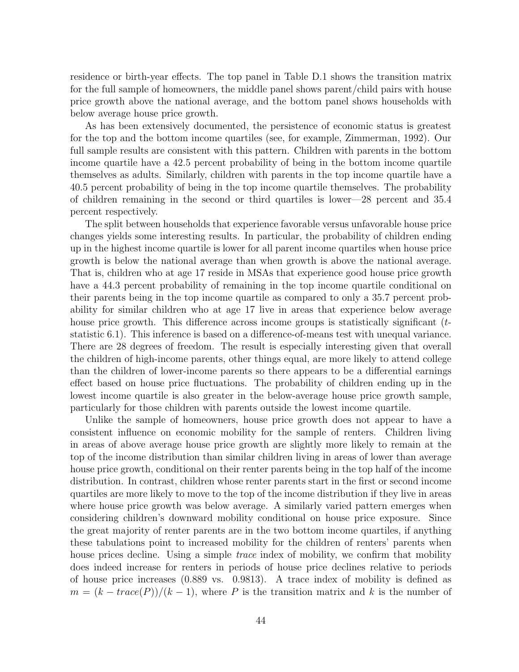residence or birth-year effects. The top panel in Table [D.1](#page-46-0) shows the transition matrix for the full sample of homeowners, the middle panel shows parent/child pairs with house price growth above the national average, and the bottom panel shows households with below average house price growth.

As has been extensively documented, the persistence of economic status is greatest for the top and the bottom income quartiles (see, for example, [Zimmerman,](#page-27-1) [1992\)](#page-27-1). Our full sample results are consistent with this pattern. Children with parents in the bottom income quartile have a 42.5 percent probability of being in the bottom income quartile themselves as adults. Similarly, children with parents in the top income quartile have a 40.5 percent probability of being in the top income quartile themselves. The probability of children remaining in the second or third quartiles is lower—28 percent and 35.4 percent respectively.

The split between households that experience favorable versus unfavorable house price changes yields some interesting results. In particular, the probability of children ending up in the highest income quartile is lower for all parent income quartiles when house price growth is below the national average than when growth is above the national average. That is, children who at age 17 reside in MSAs that experience good house price growth have a 44.3 percent probability of remaining in the top income quartile conditional on their parents being in the top income quartile as compared to only a 35.7 percent probability for similar children who at age 17 live in areas that experience below average house price growth. This difference across income groups is statistically significant  $(t$ statistic 6.1). This inference is based on a difference-of-means test with unequal variance. There are 28 degrees of freedom. The result is especially interesting given that overall the children of high-income parents, other things equal, are more likely to attend college than the children of lower-income parents so there appears to be a differential earnings effect based on house price fluctuations. The probability of children ending up in the lowest income quartile is also greater in the below-average house price growth sample, particularly for those children with parents outside the lowest income quartile.

Unlike the sample of homeowners, house price growth does not appear to have a consistent influence on economic mobility for the sample of renters. Children living in areas of above average house price growth are slightly more likely to remain at the top of the income distribution than similar children living in areas of lower than average house price growth, conditional on their renter parents being in the top half of the income distribution. In contrast, children whose renter parents start in the first or second income quartiles are more likely to move to the top of the income distribution if they live in areas where house price growth was below average. A similarly varied pattern emerges when considering children's downward mobility conditional on house price exposure. Since the great majority of renter parents are in the two bottom income quartiles, if anything these tabulations point to increased mobility for the children of renters' parents when house prices decline. Using a simple *trace* index of mobility, we confirm that mobility does indeed increase for renters in periods of house price declines relative to periods of house price increases (0.889 vs. 0.9813). A trace index of mobility is defined as  $m = (k - trace(P))/(k-1)$ , where P is the transition matrix and k is the number of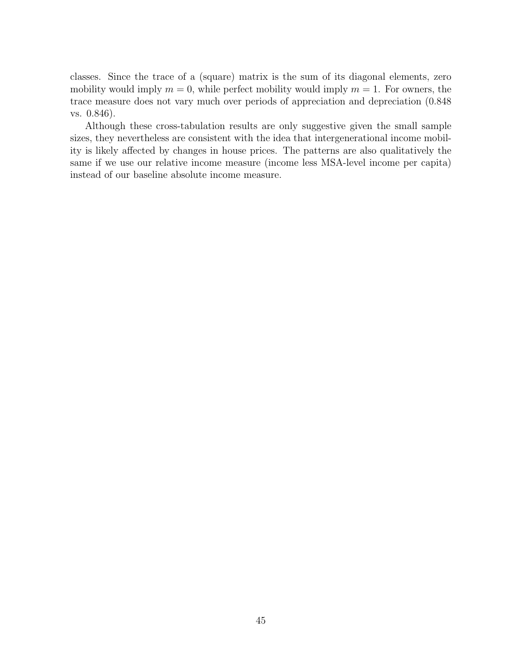classes. Since the trace of a (square) matrix is the sum of its diagonal elements, zero mobility would imply  $m = 0$ , while perfect mobility would imply  $m = 1$ . For owners, the trace measure does not vary much over periods of appreciation and depreciation (0.848 vs. 0.846).

Although these cross-tabulation results are only suggestive given the small sample sizes, they nevertheless are consistent with the idea that intergenerational income mobility is likely affected by changes in house prices. The patterns are also qualitatively the same if we use our relative income measure (income less MSA-level income per capita) instead of our baseline absolute income measure.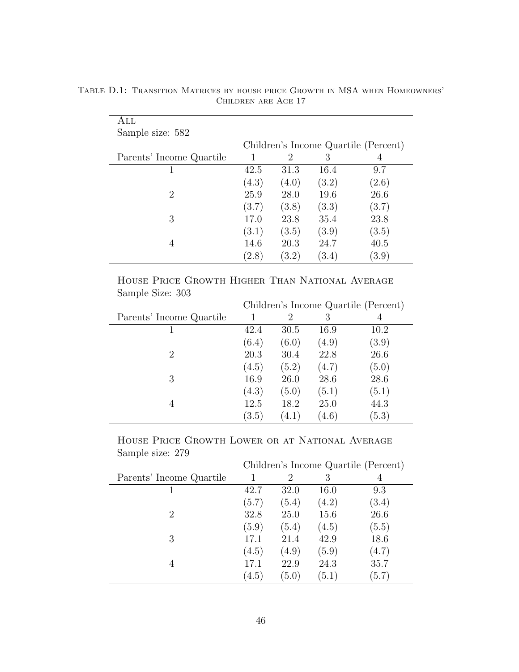| All                      |       |       |       |                                      |
|--------------------------|-------|-------|-------|--------------------------------------|
|                          |       |       |       |                                      |
| Sample size: 582         |       |       |       |                                      |
|                          |       |       |       | Children's Income Quartile (Percent) |
| Parents' Income Quartile |       | 2     | З     |                                      |
|                          | 42.5  | 31.3  | 16.4  | 9.7                                  |
|                          | (4.3) | (4.0) | (3.2) | $\left( 2.6\right)$                  |
| 2                        | 25.9  | 28.0  | 19.6  | 26.6                                 |
|                          | (3.7) | (3.8) | (3.3) | (3.7)                                |
| 3                        | 17.0  | 23.8  | 35.4  | 23.8                                 |
|                          | (3.1) | (3.5) | (3.9) | (3.5)                                |
| 4                        | 14.6  | 20.3  | 24.7  | 40.5                                 |
|                          | (2.8) | (3.2) | (3.4) | $\left( 3.9\right)$                  |

<span id="page-46-0"></span>Table D.1: Transition Matrices by house price Growth in MSA when Homeowners' Children are Age 17

House Price Growth Higher Than National Average Sample Size: 303 Children's Income Quartile (Percent)

|                          |       |       |       | Children's income Quartile (Percent) |
|--------------------------|-------|-------|-------|--------------------------------------|
| Parents' Income Quartile |       | 2     | 3     | 4                                    |
|                          | 42.4  | 30.5  | 16.9  | 10.2                                 |
|                          | (6.4) | (6.0) | (4.9) | (3.9)                                |
| 2                        | 20.3  | 30.4  | 22.8  | 26.6                                 |
|                          | (4.5) | (5.2) | (4.7) | (5.0)                                |
| 3                        | 16.9  | 26.0  | 28.6  | 28.6                                 |
|                          | (4.3) | (5.0) | (5.1) | (5.1)                                |
| $\overline{4}$           | 12.5  | 18.2  | 25.0  | 44.3                                 |
|                          | (3.5) | (4.1) | (4.6) | (5.3)                                |

|                  | HOUSE PRICE GROWTH LOWER OR AT NATIONAL AVERAGE |
|------------------|-------------------------------------------------|
| Sample size: 279 |                                                 |

|                          |       |       |       | Children's Income Quartile (Percent) |
|--------------------------|-------|-------|-------|--------------------------------------|
| Parents' Income Quartile |       | 2     | 3     | 4                                    |
|                          | 42.7  | 32.0  | 16.0  | 9.3                                  |
|                          | (5.7) | (5.4) | (4.2) | (3.4)                                |
| 2                        | 32.8  | 25.0  | 15.6  | 26.6                                 |
|                          | (5.9) | (5.4) | (4.5) | (5.5)                                |
| 3                        | 17.1  | 21.4  | 42.9  | 18.6                                 |
|                          | (4.5) | (4.9) | (5.9) | (4.7)                                |
| 4                        | 17.1  | 22.9  | 24.3  | 35.7                                 |
|                          | (4.5) | (5.0) | (5.1) | (5.7)                                |